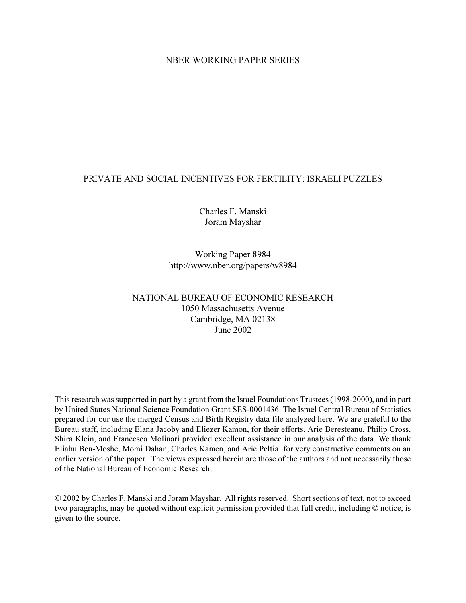# NBER WORKING PAPER SERIES

# PRIVATE AND SOCIAL INCENTIVES FOR FERTILITY: ISRAELI PUZZLES

Charles F. Manski Joram Mayshar

Working Paper 8984 http://www.nber.org/papers/w8984

# NATIONAL BUREAU OF ECONOMIC RESEARCH 1050 Massachusetts Avenue Cambridge, MA 02138 June 2002

This research was supported in part by a grant from the Israel Foundations Trustees (1998-2000), and in part by United States National Science Foundation Grant SES-0001436. The Israel Central Bureau of Statistics prepared for our use the merged Census and Birth Registry data file analyzed here. We are grateful to the Bureau staff, including Elana Jacoby and Eliezer Kamon, for their efforts. Arie Beresteanu, Philip Cross, Shira Klein, and Francesca Molinari provided excellent assistance in our analysis of the data. We thank Eliahu Ben-Moshe, Momi Dahan, Charles Kamen, and Arie Peltial for very constructive comments on an earlier version of the paper. The views expressed herein are those of the authors and not necessarily those of the National Bureau of Economic Research.

© 2002 by Charles F. Manski and Joram Mayshar. All rights reserved. Short sections of text, not to exceed two paragraphs, may be quoted without explicit permission provided that full credit, including © notice, is given to the source.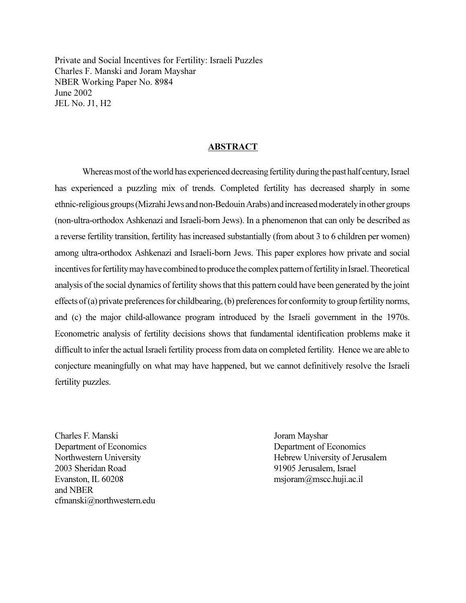Private and Social Incentives for Fertility: Israeli Puzzles Charles F. Manski and Joram Mayshar NBER Working Paper No. 8984 June 2002 JEL No. J1, H2

## ABSTRACT

Whereas most of the world has experienced decreasing fertility during the past half century, Israel has experienced a puzzling mix of trends. Completed fertility has decreased sharply in some ethnic-religious groups (Mizrahi Jews and non-Bedouin Arabs) and increased moderately in other groups (non-ultra-orthodox Ashkenazi and Israeli-born Jews). In a phenomenon that can only be described as a reverse fertility transition, fertility has increased substantially (from about 3 to 6 children per women) among ultra-orthodox Ashkenazi and Israeli-born Jews. This paper explores how private and social incentives for fertility may have combined to produce the complex pattern of fertility in Israel. Theoretical analysis of the social dynamics of fertility shows that this pattern could have been generated by the joint effects of (a) private preferences for childbearing, (b) preferences for conformity to group fertility norms, and (c) the major child-allowance program introduced by the Israeli government in the 1970s. Econometric analysis of fertility decisions shows that fundamental identification problems make it difficult to infer the actual Israeli fertility process from data on completed fertility. Hence we are able to conjecture meaningfully on what may have happened, but we cannot definitively resolve the Israeli fertility puzzles.

Charles F. Manski Joram Mayshar Department of Economics Department of Economics 2003 Sheridan Road 91905 Jerusalem, Israel Evanston, IL 60208 msjoram@mscc.huji.ac.il and NBER cfmanski@northwestern.edu

Northwestern University **Hebrew University of Jerusalem**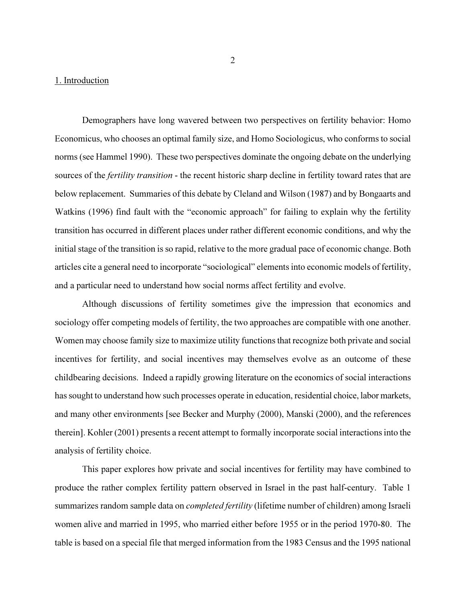## 1. Introduction

Demographers have long wavered between two perspectives on fertility behavior: Homo Economicus, who chooses an optimal family size, and Homo Sociologicus, who conforms to social norms (see Hammel 1990). These two perspectives dominate the ongoing debate on the underlying sources of the *fertility transition* - the recent historic sharp decline in fertility toward rates that are below replacement. Summaries of this debate by Cleland and Wilson (1987) and by Bongaarts and Watkins (1996) find fault with the "economic approach" for failing to explain why the fertility transition has occurred in different places under rather different economic conditions, and why the initial stage of the transition is so rapid, relative to the more gradual pace of economic change. Both articles cite a general need to incorporate "sociological" elements into economic models of fertility, and a particular need to understand how social norms affect fertility and evolve.

Although discussions of fertility sometimes give the impression that economics and sociology offer competing models of fertility, the two approaches are compatible with one another. Women may choose family size to maximize utility functions that recognize both private and social incentives for fertility, and social incentives may themselves evolve as an outcome of these childbearing decisions. Indeed a rapidly growing literature on the economics of social interactions has sought to understand how such processes operate in education, residential choice, labor markets, and many other environments [see Becker and Murphy (2000), Manski (2000), and the references therein]. Kohler (2001) presents a recent attempt to formally incorporate social interactions into the analysis of fertility choice.

 This paper explores how private and social incentives for fertility may have combined to produce the rather complex fertility pattern observed in Israel in the past half-century. Table 1 summarizes random sample data on *completed fertility* (lifetime number of children) among Israeli women alive and married in 1995, who married either before 1955 or in the period 1970-80. The table is based on a special file that merged information from the 1983 Census and the 1995 national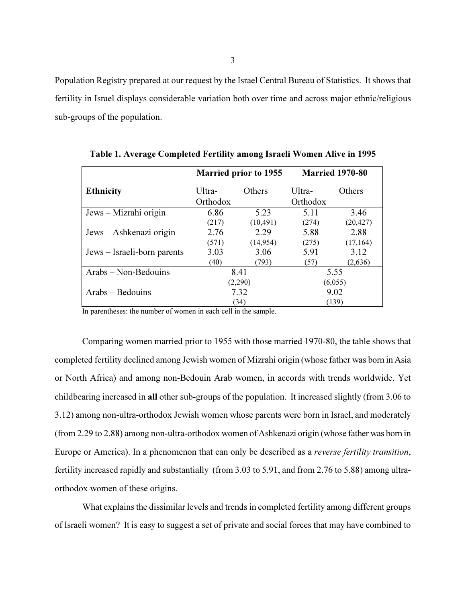Population Registry prepared at our request by the Israel Central Bureau of Statistics. It shows that fertility in Israel displays considerable variation both over time and across major ethnic/religious sub-groups of the population.

|                             |          | <b>Married prior to 1955</b> | <b>Married 1970-80</b> |               |  |
|-----------------------------|----------|------------------------------|------------------------|---------------|--|
| <b>Ethnicity</b>            | Ultra-   | Others                       | Ultra-                 | <b>Others</b> |  |
|                             | Orthodox |                              | Orthodox               |               |  |
| Jews – Mizrahi origin       | 6.86     | 5.23                         | 5.11                   | 3.46          |  |
|                             | (217)    | (10, 491)                    | (274)                  | (20, 427)     |  |
| Jews – Ashkenazi origin     | 2.76     | 2.29                         | 5.88                   | 2.88          |  |
|                             | (571)    | (14, 954)                    | (275)                  | (17, 164)     |  |
| Jews – Israeli-born parents | 3.03     | 3.06                         | 5.91                   | 3.12          |  |
|                             | (40)     | (793)                        | (57)                   | (2,636)       |  |
| Arabs – Non-Bedouins        |          | 8.41                         | 5.55                   |               |  |
|                             |          | (2,290)                      | (6,055)                |               |  |
| Arabs – Bedouins            |          | 7.32                         | 9.02                   |               |  |
|                             |          | (34)                         | (139)                  |               |  |

Table 1. Average Completed Fertility among Israeli Women Alive in 1995

In parentheses: the number of women in each cell in the sample.

Comparing women married prior to 1955 with those married 1970-80, the table shows that completed fertility declined among Jewish women of Mizrahi origin (whose father was born in Asia or North Africa) and among non-Bedouin Arab women, in accords with trends worldwide. Yet childbearing increased in all other sub-groups of the population. It increased slightly (from 3.06 to 3.12) among non-ultra-orthodox Jewish women whose parents were born in Israel, and moderately (from 2.29 to 2.88) among non-ultra-orthodox women of Ashkenazi origin (whose father was born in Europe or America). In a phenomenon that can only be described as a reverse fertility transition, fertility increased rapidly and substantially (from 3.03 to 5.91, and from 2.76 to 5.88) among ultraorthodox women of these origins.

What explains the dissimilar levels and trends in completed fertility among different groups of Israeli women? It is easy to suggest a set of private and social forces that may have combined to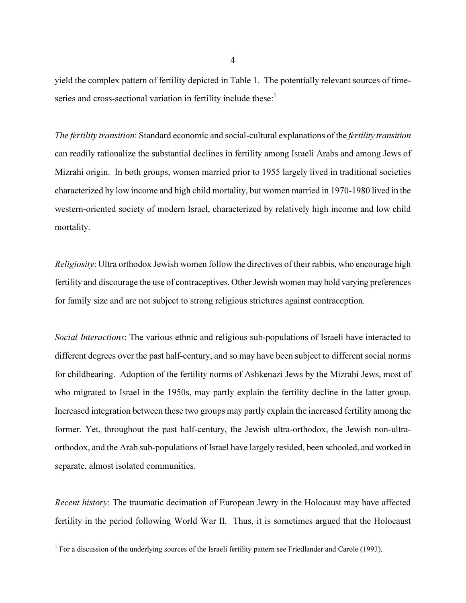yield the complex pattern of fertility depicted in Table 1. The potentially relevant sources of timeseries and cross-sectional variation in fertility include these:<sup>1</sup>

The fertility transition: Standard economic and social-cultural explanations of the fertility transition can readily rationalize the substantial declines in fertility among Israeli Arabs and among Jews of Mizrahi origin. In both groups, women married prior to 1955 largely lived in traditional societies characterized by low income and high child mortality, but women married in 1970-1980 lived in the western-oriented society of modern Israel, characterized by relatively high income and low child mortality.

Religiosity: Ultra orthodox Jewish women follow the directives of their rabbis, who encourage high fertility and discourage the use of contraceptives. Other Jewish women may hold varying preferences for family size and are not subject to strong religious strictures against contraception.

Social Interactions: The various ethnic and religious sub-populations of Israeli have interacted to different degrees over the past half-century, and so may have been subject to different social norms for childbearing. Adoption of the fertility norms of Ashkenazi Jews by the Mizrahi Jews, most of who migrated to Israel in the 1950s, may partly explain the fertility decline in the latter group. Increased integration between these two groups may partly explain the increased fertility among the former. Yet, throughout the past half-century, the Jewish ultra-orthodox, the Jewish non-ultraorthodox, and the Arab sub-populations of Israel have largely resided, been schooled, and worked in separate, almost isolated communities.

Recent history: The traumatic decimation of European Jewry in the Holocaust may have affected fertility in the period following World War II. Thus, it is sometimes argued that the Holocaust

4

<sup>&</sup>lt;sup>1</sup> For a discussion of the underlying sources of the Israeli fertility pattern see Friedlander and Carole (1993).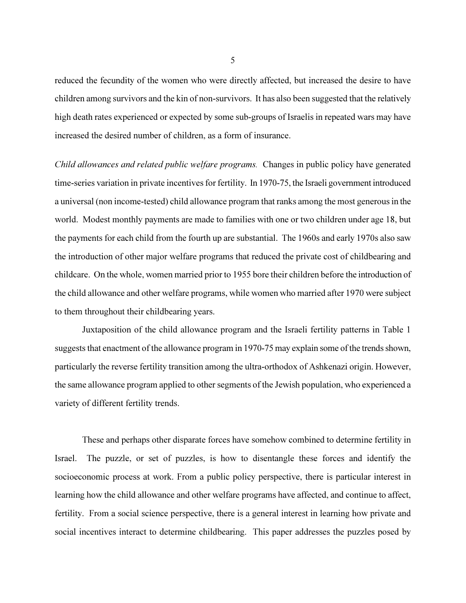reduced the fecundity of the women who were directly affected, but increased the desire to have children among survivors and the kin of non-survivors. It has also been suggested that the relatively high death rates experienced or expected by some sub-groups of Israelis in repeated wars may have increased the desired number of children, as a form of insurance.

Child allowances and related public welfare programs. Changes in public policy have generated time-series variation in private incentives for fertility. In 1970-75, the Israeli government introduced a universal (non income-tested) child allowance program that ranks among the most generous in the world. Modest monthly payments are made to families with one or two children under age 18, but the payments for each child from the fourth up are substantial. The 1960s and early 1970s also saw the introduction of other major welfare programs that reduced the private cost of childbearing and childcare. On the whole, women married prior to 1955 bore their children before the introduction of the child allowance and other welfare programs, while women who married after 1970 were subject to them throughout their childbearing years.

Juxtaposition of the child allowance program and the Israeli fertility patterns in Table 1 suggests that enactment of the allowance program in 1970-75 may explain some of the trends shown, particularly the reverse fertility transition among the ultra-orthodox of Ashkenazi origin. However, the same allowance program applied to other segments of the Jewish population, who experienced a variety of different fertility trends.

These and perhaps other disparate forces have somehow combined to determine fertility in Israel. The puzzle, or set of puzzles, is how to disentangle these forces and identify the socioeconomic process at work. From a public policy perspective, there is particular interest in learning how the child allowance and other welfare programs have affected, and continue to affect, fertility. From a social science perspective, there is a general interest in learning how private and social incentives interact to determine childbearing. This paper addresses the puzzles posed by

5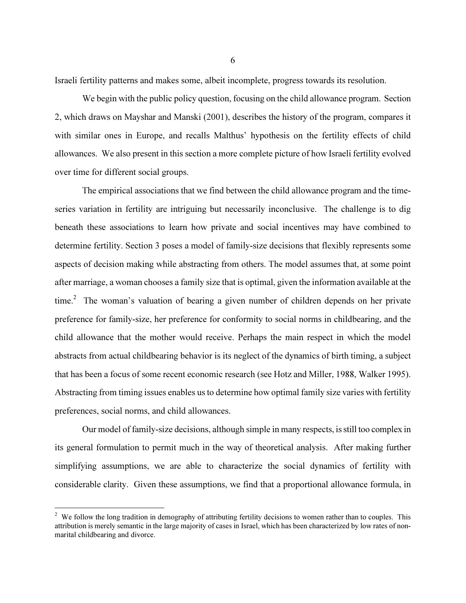Israeli fertility patterns and makes some, albeit incomplete, progress towards its resolution.

We begin with the public policy question, focusing on the child allowance program. Section 2, which draws on Mayshar and Manski (2001), describes the history of the program, compares it with similar ones in Europe, and recalls Malthus' hypothesis on the fertility effects of child allowances. We also present in this section a more complete picture of how Israeli fertility evolved over time for different social groups.

The empirical associations that we find between the child allowance program and the timeseries variation in fertility are intriguing but necessarily inconclusive. The challenge is to dig beneath these associations to learn how private and social incentives may have combined to determine fertility. Section 3 poses a model of family-size decisions that flexibly represents some aspects of decision making while abstracting from others. The model assumes that, at some point after marriage, a woman chooses a family size that is optimal, given the information available at the time.<sup>2</sup> The woman's valuation of bearing a given number of children depends on her private preference for family-size, her preference for conformity to social norms in childbearing, and the child allowance that the mother would receive. Perhaps the main respect in which the model abstracts from actual childbearing behavior is its neglect of the dynamics of birth timing, a subject that has been a focus of some recent economic research (see Hotz and Miller, 1988, Walker 1995). Abstracting from timing issues enables us to determine how optimal family size varies with fertility preferences, social norms, and child allowances.

 Our model of family-size decisions, although simple in many respects, is still too complex in its general formulation to permit much in the way of theoretical analysis. After making further simplifying assumptions, we are able to characterize the social dynamics of fertility with considerable clarity. Given these assumptions, we find that a proportional allowance formula, in

 $2$  We follow the long tradition in demography of attributing fertility decisions to women rather than to couples. This attribution is merely semantic in the large majority of cases in Israel, which has been characterized by low rates of nonmarital childbearing and divorce.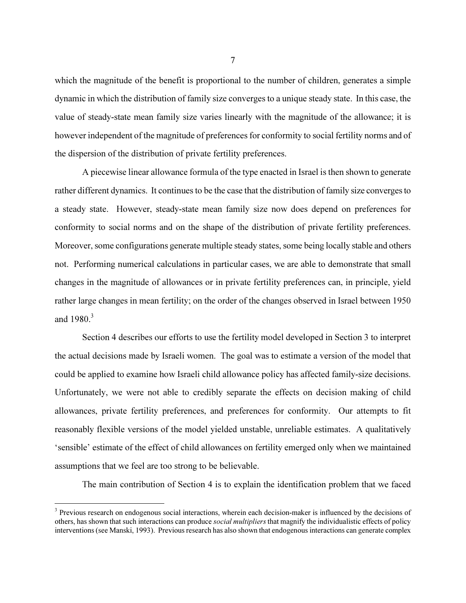which the magnitude of the benefit is proportional to the number of children, generates a simple dynamic in which the distribution of family size converges to a unique steady state. In this case, the value of steady-state mean family size varies linearly with the magnitude of the allowance; it is however independent of the magnitude of preferences for conformity to social fertility norms and of the dispersion of the distribution of private fertility preferences.

 A piecewise linear allowance formula of the type enacted in Israel is then shown to generate rather different dynamics. It continues to be the case that the distribution of family size converges to a steady state. However, steady-state mean family size now does depend on preferences for conformity to social norms and on the shape of the distribution of private fertility preferences. Moreover, some configurations generate multiple steady states, some being locally stable and others not. Performing numerical calculations in particular cases, we are able to demonstrate that small changes in the magnitude of allowances or in private fertility preferences can, in principle, yield rather large changes in mean fertility; on the order of the changes observed in Israel between 1950 and  $1980<sup>3</sup>$ 

Section 4 describes our efforts to use the fertility model developed in Section 3 to interpret the actual decisions made by Israeli women. The goal was to estimate a version of the model that could be applied to examine how Israeli child allowance policy has affected family-size decisions. Unfortunately, we were not able to credibly separate the effects on decision making of child allowances, private fertility preferences, and preferences for conformity. Our attempts to fit reasonably flexible versions of the model yielded unstable, unreliable estimates. A qualitatively 'sensible' estimate of the effect of child allowances on fertility emerged only when we maintained assumptions that we feel are too strong to be believable.

The main contribution of Section 4 is to explain the identification problem that we faced

<sup>&</sup>lt;sup>3</sup> Previous research on endogenous social interactions, wherein each decision-maker is influenced by the decisions of others, has shown that such interactions can produce social multipliers that magnify the individualistic effects of policy interventions (see Manski, 1993). Previous research has also shown that endogenous interactions can generate complex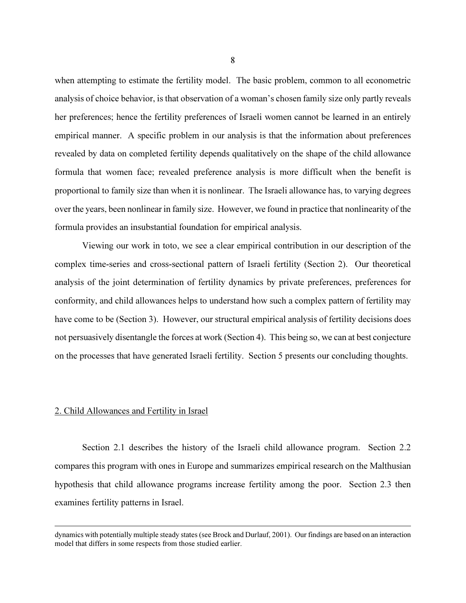when attempting to estimate the fertility model. The basic problem, common to all econometric analysis of choice behavior, is that observation of a woman's chosen family size only partly reveals her preferences; hence the fertility preferences of Israeli women cannot be learned in an entirely empirical manner. A specific problem in our analysis is that the information about preferences revealed by data on completed fertility depends qualitatively on the shape of the child allowance formula that women face; revealed preference analysis is more difficult when the benefit is proportional to family size than when it is nonlinear. The Israeli allowance has, to varying degrees over the years, been nonlinear in family size. However, we found in practice that nonlinearity of the formula provides an insubstantial foundation for empirical analysis.

 Viewing our work in toto, we see a clear empirical contribution in our description of the complex time-series and cross-sectional pattern of Israeli fertility (Section 2). Our theoretical analysis of the joint determination of fertility dynamics by private preferences, preferences for conformity, and child allowances helps to understand how such a complex pattern of fertility may have come to be (Section 3). However, our structural empirical analysis of fertility decisions does not persuasively disentangle the forces at work (Section 4). This being so, we can at best conjecture on the processes that have generated Israeli fertility. Section 5 presents our concluding thoughts.

### 2. Child Allowances and Fertility in Israel

 $\overline{a}$ 

Section 2.1 describes the history of the Israeli child allowance program. Section 2.2 compares this program with ones in Europe and summarizes empirical research on the Malthusian hypothesis that child allowance programs increase fertility among the poor. Section 2.3 then examines fertility patterns in Israel.

dynamics with potentially multiple steady states (see Brock and Durlauf, 2001). Our findings are based on an interaction model that differs in some respects from those studied earlier.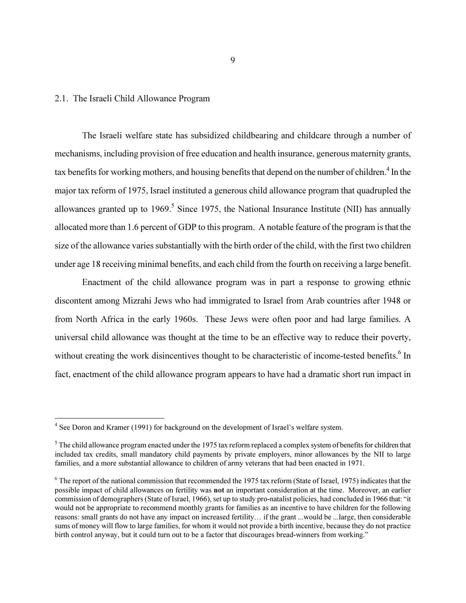### 2.1. The Israeli Child Allowance Program

 $\overline{a}$ 

The Israeli welfare state has subsidized childbearing and childcare through a number of mechanisms, including provision of free education and health insurance, generous maternity grants, tax benefits for working mothers, and housing benefits that depend on the number of children.<sup>4</sup> In the major tax reform of 1975, Israel instituted a generous child allowance program that quadrupled the allowances granted up to 1969. Since 1975, the National Insurance Institute (NII) has annually allocated more than 1.6 percent of GDP to this program. A notable feature of the program is that the size of the allowance varies substantially with the birth order of the child, with the first two children under age 18 receiving minimal benefits, and each child from the fourth on receiving a large benefit.

Enactment of the child allowance program was in part a response to growing ethnic discontent among Mizrahi Jews who had immigrated to Israel from Arab countries after 1948 or from North Africa in the early 1960s. These Jews were often poor and had large families. A universal child allowance was thought at the time to be an effective way to reduce their poverty, without creating the work disincentives thought to be characteristic of income-tested benefits.<sup>6</sup> In fact, enactment of the child allowance program appears to have had a dramatic short run impact in

<sup>&</sup>lt;sup>4</sup> See Doron and Kramer (1991) for background on the development of Israel's welfare system.

 $<sup>5</sup>$  The child allowance program enacted under the 1975 tax reform replaced a complex system of benefits for children that</sup> included tax credits, small mandatory child payments by private employers, minor allowances by the NII to large families, and a more substantial allowance to children of army veterans that had been enacted in 1971.

 $6$  The report of the national commission that recommended the 1975 tax reform (State of Israel, 1975) indicates that the possible impact of child allowances on fertility was not an important consideration at the time. Moreover, an earlier commission of demographers (State of Israel, 1966), set up to study pro-natalist policies, had concluded in 1966 that: "it would not be appropriate to recommend monthly grants for families as an incentive to have children for the following reasons: small grants do not have any impact on increased fertility… if the grant ...would be ...large, then considerable sums of money will flow to large families, for whom it would not provide a birth incentive, because they do not practice birth control anyway, but it could turn out to be a factor that discourages bread-winners from working."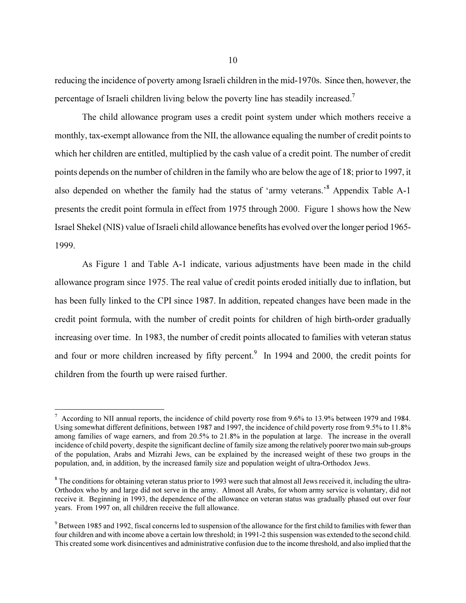reducing the incidence of poverty among Israeli children in the mid-1970s. Since then, however, the percentage of Israeli children living below the poverty line has steadily increased.7

The child allowance program uses a credit point system under which mothers receive a monthly, tax-exempt allowance from the NII, the allowance equaling the number of credit points to which her children are entitled, multiplied by the cash value of a credit point. The number of credit points depends on the number of children in the family who are below the age of 18; prior to 1997, it also depended on whether the family had the status of 'army veterans.'<sup>8</sup> Appendix Table A-1 presents the credit point formula in effect from 1975 through 2000. Figure 1 shows how the New Israel Shekel (NIS) value of Israeli child allowance benefits has evolved over the longer period 1965- 1999.

As Figure 1 and Table A-1 indicate, various adjustments have been made in the child allowance program since 1975. The real value of credit points eroded initially due to inflation, but has been fully linked to the CPI since 1987. In addition, repeated changes have been made in the credit point formula, with the number of credit points for children of high birth-order gradually increasing over time. In 1983, the number of credit points allocated to families with veteran status and four or more children increased by fifty percent.<sup>9</sup> In 1994 and 2000, the credit points for children from the fourth up were raised further.

<sup>&</sup>lt;sup>7</sup> According to NII annual reports, the incidence of child poverty rose from 9.6% to 13.9% between 1979 and 1984. Using somewhat different definitions, between 1987 and 1997, the incidence of child poverty rose from 9.5% to 11.8% among families of wage earners, and from 20.5% to 21.8% in the population at large. The increase in the overall incidence of child poverty, despite the significant decline of family size among the relatively poorer two main sub-groups of the population, Arabs and Mizrahi Jews, can be explained by the increased weight of these two groups in the population, and, in addition, by the increased family size and population weight of ultra-Orthodox Jews.

 $8$  The conditions for obtaining veteran status prior to 1993 were such that almost all Jews received it, including the ultra-Orthodox who by and large did not serve in the army. Almost all Arabs, for whom army service is voluntary, did not receive it. Beginning in 1993, the dependence of the allowance on veteran status was gradually phased out over four years. From 1997 on, all children receive the full allowance.

<sup>&</sup>lt;sup>9</sup> Between 1985 and 1992, fiscal concerns led to suspension of the allowance for the first child to families with fewer than four children and with income above a certain low threshold; in 1991-2 this suspension was extended to the second child. This created some work disincentives and administrative confusion due to the income threshold, and also implied that the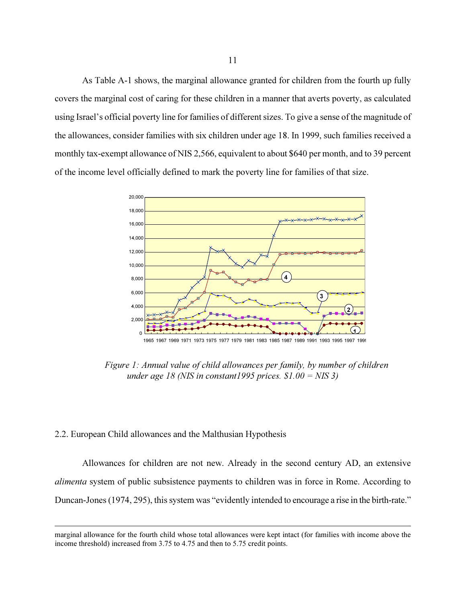As Table A-1 shows, the marginal allowance granted for children from the fourth up fully covers the marginal cost of caring for these children in a manner that averts poverty, as calculated using Israel's official poverty line for families of different sizes. To give a sense of the magnitude of the allowances, consider families with six children under age 18. In 1999, such families received a monthly tax-exempt allowance of NIS 2,566, equivalent to about \$640 per month, and to 39 percent of the income level officially defined to mark the poverty line for families of that size.



Figure 1: Annual value of child allowances per family, by number of children under age 18 (NIS in constant 1995 prices.  $$1.00 = NIS 3$$ )

### 2.2. European Child allowances and the Malthusian Hypothesis

 $\overline{a}$ 

Allowances for children are not new. Already in the second century AD, an extensive alimenta system of public subsistence payments to children was in force in Rome. According to Duncan-Jones (1974, 295), this system was "evidently intended to encourage a rise in the birth-rate."

marginal allowance for the fourth child whose total allowances were kept intact (for families with income above the income threshold) increased from 3.75 to 4.75 and then to 5.75 credit points.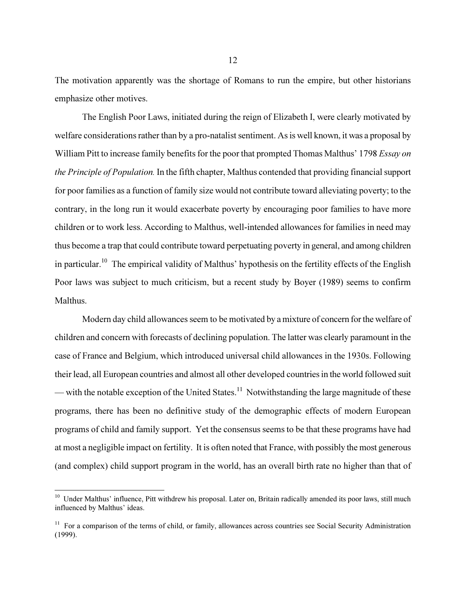The motivation apparently was the shortage of Romans to run the empire, but other historians emphasize other motives.

The English Poor Laws, initiated during the reign of Elizabeth I, were clearly motivated by welfare considerations rather than by a pro-natalist sentiment. As is well known, it was a proposal by William Pitt to increase family benefits for the poor that prompted Thomas Malthus' 1798 *Essay on* the Principle of Population. In the fifth chapter, Malthus contended that providing financial support for poor families as a function of family size would not contribute toward alleviating poverty; to the contrary, in the long run it would exacerbate poverty by encouraging poor families to have more children or to work less. According to Malthus, well-intended allowances for families in need may thus become a trap that could contribute toward perpetuating poverty in general, and among children in particular.10 The empirical validity of Malthus' hypothesis on the fertility effects of the English Poor laws was subject to much criticism, but a recent study by Boyer (1989) seems to confirm Malthus.

Modern day child allowances seem to be motivated by a mixture of concern for the welfare of children and concern with forecasts of declining population. The latter was clearly paramount in the case of France and Belgium, which introduced universal child allowances in the 1930s. Following their lead, all European countries and almost all other developed countries in the world followed suit — with the notable exception of the United States.<sup>11</sup> Notwithstanding the large magnitude of these programs, there has been no definitive study of the demographic effects of modern European programs of child and family support. Yet the consensus seems to be that these programs have had at most a negligible impact on fertility. It is often noted that France, with possibly the most generous (and complex) child support program in the world, has an overall birth rate no higher than that of

<sup>&</sup>lt;sup>10</sup> Under Malthus' influence, Pitt withdrew his proposal. Later on, Britain radically amended its poor laws, still much influenced by Malthus' ideas.

 $11$  For a comparison of the terms of child, or family, allowances across countries see Social Security Administration (1999).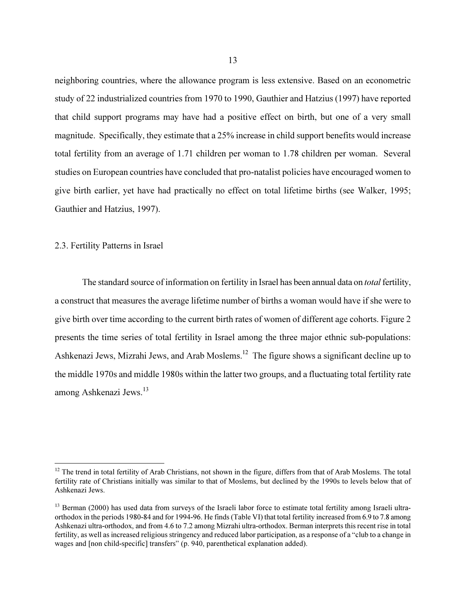neighboring countries, where the allowance program is less extensive. Based on an econometric study of 22 industrialized countries from 1970 to 1990, Gauthier and Hatzius (1997) have reported that child support programs may have had a positive effect on birth, but one of a very small magnitude. Specifically, they estimate that a 25% increase in child support benefits would increase total fertility from an average of 1.71 children per woman to 1.78 children per woman. Several studies on European countries have concluded that pro-natalist policies have encouraged women to give birth earlier, yet have had practically no effect on total lifetime births (see Walker, 1995; Gauthier and Hatzius, 1997).

## 2.3. Fertility Patterns in Israel

 $\overline{a}$ 

The standard source of information on fertility in Israel has been annual data on *total* fertility, a construct that measures the average lifetime number of births a woman would have if she were to give birth over time according to the current birth rates of women of different age cohorts. Figure 2 presents the time series of total fertility in Israel among the three major ethnic sub-populations: Ashkenazi Jews, Mizrahi Jews, and Arab Moslems.<sup>12</sup> The figure shows a significant decline up to the middle 1970s and middle 1980s within the latter two groups, and a fluctuating total fertility rate among Ashkenazi Jews.13

 $12$  The trend in total fertility of Arab Christians, not shown in the figure, differs from that of Arab Moslems. The total fertility rate of Christians initially was similar to that of Moslems, but declined by the 1990s to levels below that of Ashkenazi Jews.

<sup>&</sup>lt;sup>13</sup> Berman (2000) has used data from surveys of the Israeli labor force to estimate total fertility among Israeli ultraorthodox in the periods 1980-84 and for 1994-96. He finds (Table VI) that total fertility increased from 6.9 to 7.8 among Ashkenazi ultra-orthodox, and from 4.6 to 7.2 among Mizrahi ultra-orthodox. Berman interprets this recent rise in total fertility, as well as increased religious stringency and reduced labor participation, as a response of a "club to a change in wages and [non child-specific] transfers" (p. 940, parenthetical explanation added).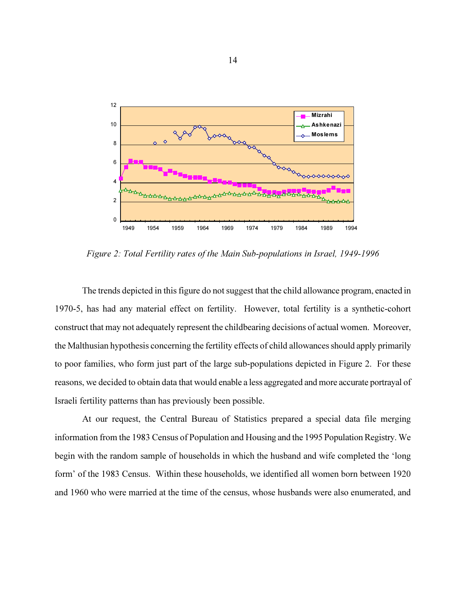

Figure 2: Total Fertility rates of the Main Sub-populations in Israel, 1949-1996

The trends depicted in this figure do not suggest that the child allowance program, enacted in 1970-5, has had any material effect on fertility. However, total fertility is a synthetic-cohort construct that may not adequately represent the childbearing decisions of actual women. Moreover, the Malthusian hypothesis concerning the fertility effects of child allowances should apply primarily to poor families, who form just part of the large sub-populations depicted in Figure 2. For these reasons, we decided to obtain data that would enable a less aggregated and more accurate portrayal of Israeli fertility patterns than has previously been possible.

At our request, the Central Bureau of Statistics prepared a special data file merging information from the 1983 Census of Population and Housing and the 1995 Population Registry. We begin with the random sample of households in which the husband and wife completed the 'long form' of the 1983 Census. Within these households, we identified all women born between 1920 and 1960 who were married at the time of the census, whose husbands were also enumerated, and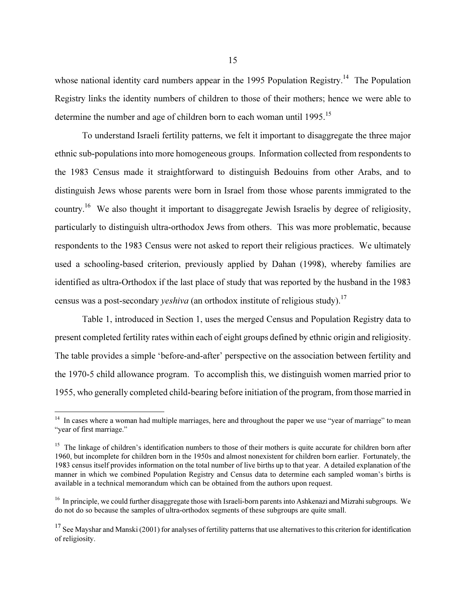whose national identity card numbers appear in the 1995 Population Registry.<sup>14</sup> The Population Registry links the identity numbers of children to those of their mothers; hence we were able to determine the number and age of children born to each woman until 1995.<sup>15</sup>

To understand Israeli fertility patterns, we felt it important to disaggregate the three major ethnic sub-populations into more homogeneous groups. Information collected from respondents to the 1983 Census made it straightforward to distinguish Bedouins from other Arabs, and to distinguish Jews whose parents were born in Israel from those whose parents immigrated to the country.16 We also thought it important to disaggregate Jewish Israelis by degree of religiosity, particularly to distinguish ultra-orthodox Jews from others. This was more problematic, because respondents to the 1983 Census were not asked to report their religious practices. We ultimately used a schooling-based criterion, previously applied by Dahan (1998), whereby families are identified as ultra-Orthodox if the last place of study that was reported by the husband in the 1983 census was a post-secondary *yeshiva* (an orthodox institute of religious study).<sup>17</sup>

Table 1, introduced in Section 1, uses the merged Census and Population Registry data to present completed fertility rates within each of eight groups defined by ethnic origin and religiosity. The table provides a simple 'before-and-after' perspective on the association between fertility and the 1970-5 child allowance program. To accomplish this, we distinguish women married prior to 1955, who generally completed child-bearing before initiation of the program, from those married in

<sup>&</sup>lt;sup>14</sup> In cases where a woman had multiple marriages, here and throughout the paper we use "year of marriage" to mean "year of first marriage."

<sup>&</sup>lt;sup>15</sup> The linkage of children's identification numbers to those of their mothers is quite accurate for children born after 1960, but incomplete for children born in the 1950s and almost nonexistent for children born earlier. Fortunately, the 1983 census itself provides information on the total number of live births up to that year. A detailed explanation of the manner in which we combined Population Registry and Census data to determine each sampled woman's births is available in a technical memorandum which can be obtained from the authors upon request.

 $16$  In principle, we could further disaggregate those with Israeli-born parents into Ashkenazi and Mizrahi subgroups. We do not do so because the samples of ultra-orthodox segments of these subgroups are quite small.

 $17$  See Mayshar and Manski (2001) for analyses of fertility patterns that use alternatives to this criterion for identification of religiosity.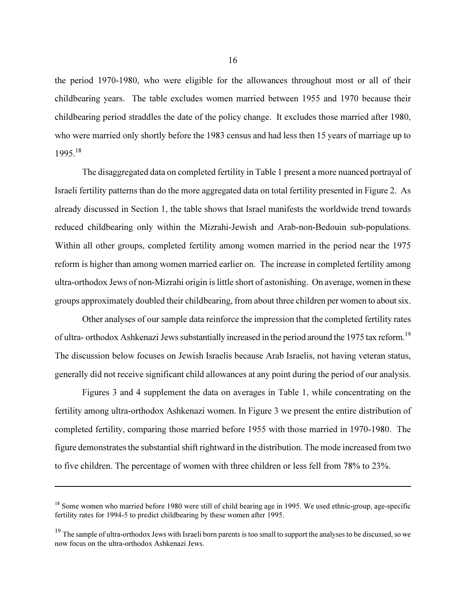the period 1970-1980, who were eligible for the allowances throughout most or all of their childbearing years. The table excludes women married between 1955 and 1970 because their childbearing period straddles the date of the policy change. It excludes those married after 1980, who were married only shortly before the 1983 census and had less then 15 years of marriage up to  $1995.<sup>18</sup>$ 

The disaggregated data on completed fertility in Table 1 present a more nuanced portrayal of Israeli fertility patterns than do the more aggregated data on total fertility presented in Figure 2. As already discussed in Section 1, the table shows that Israel manifests the worldwide trend towards reduced childbearing only within the Mizrahi-Jewish and Arab-non-Bedouin sub-populations. Within all other groups, completed fertility among women married in the period near the 1975 reform is higher than among women married earlier on. The increase in completed fertility among ultra-orthodox Jews of non-Mizrahi origin is little short of astonishing. On average, women in these groups approximately doubled their childbearing, from about three children per women to about six.

Other analyses of our sample data reinforce the impression that the completed fertility rates of ultra- orthodox Ashkenazi Jews substantially increased in the period around the 1975 tax reform.<sup>19</sup> The discussion below focuses on Jewish Israelis because Arab Israelis, not having veteran status, generally did not receive significant child allowances at any point during the period of our analysis.

Figures 3 and 4 supplement the data on averages in Table 1, while concentrating on the fertility among ultra-orthodox Ashkenazi women. In Figure 3 we present the entire distribution of completed fertility, comparing those married before 1955 with those married in 1970-1980. The figure demonstrates the substantial shift rightward in the distribution. The mode increased from two to five children. The percentage of women with three children or less fell from 78% to 23%.

<sup>&</sup>lt;sup>18</sup> Some women who married before 1980 were still of child bearing age in 1995. We used ethnic-group, age-specific fertility rates for 1994-5 to predict childbearing by these women after 1995.

<sup>&</sup>lt;sup>19</sup> The sample of ultra-orthodox Jews with Israeli born parents is too small to support the analyses to be discussed, so we now focus on the ultra-orthodox Ashkenazi Jews.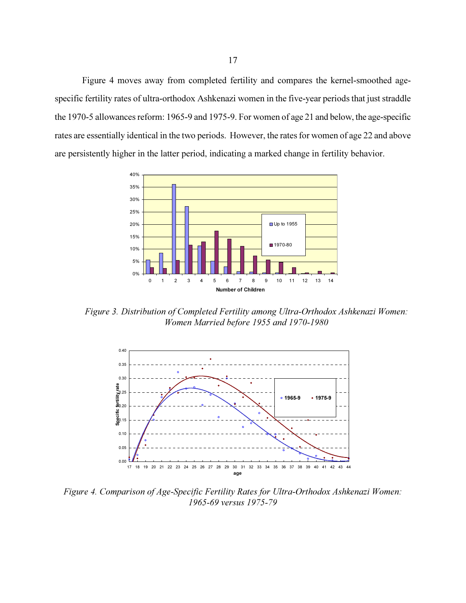Figure 4 moves away from completed fertility and compares the kernel-smoothed agespecific fertility rates of ultra-orthodox Ashkenazi women in the five-year periods that just straddle the 1970-5 allowances reform: 1965-9 and 1975-9. For women of age 21 and below, the age-specific rates are essentially identical in the two periods. However, the rates for women of age 22 and above are persistently higher in the latter period, indicating a marked change in fertility behavior.



Figure 3. Distribution of Completed Fertility among Ultra-Orthodox Ashkenazi Women: Women Married before 1955 and 1970-1980



Figure 4. Comparison of Age-Specific Fertility Rates for Ultra-Orthodox Ashkenazi Women: 1965-69 versus 1975-79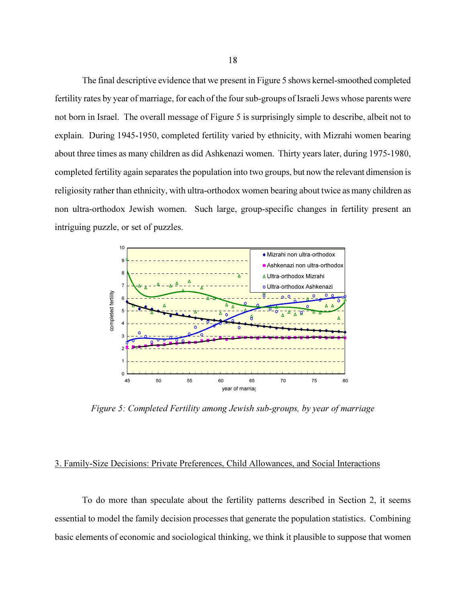The final descriptive evidence that we present in Figure 5 shows kernel-smoothed completed fertility rates by year of marriage, for each of the four sub-groups of Israeli Jews whose parents were not born in Israel. The overall message of Figure 5 is surprisingly simple to describe, albeit not to explain. During 1945-1950, completed fertility varied by ethnicity, with Mizrahi women bearing about three times as many children as did Ashkenazi women. Thirty years later, during 1975-1980, completed fertility again separates the population into two groups, but now the relevant dimension is religiosity rather than ethnicity, with ultra-orthodox women bearing about twice as many children as non ultra-orthodox Jewish women. Such large, group-specific changes in fertility present an intriguing puzzle, or set of puzzles.



Figure 5: Completed Fertility among Jewish sub-groups, by year of marriage

# 3. Family-Size Decisions: Private Preferences, Child Allowances, and Social Interactions

To do more than speculate about the fertility patterns described in Section 2, it seems essential to model the family decision processes that generate the population statistics. Combining basic elements of economic and sociological thinking, we think it plausible to suppose that women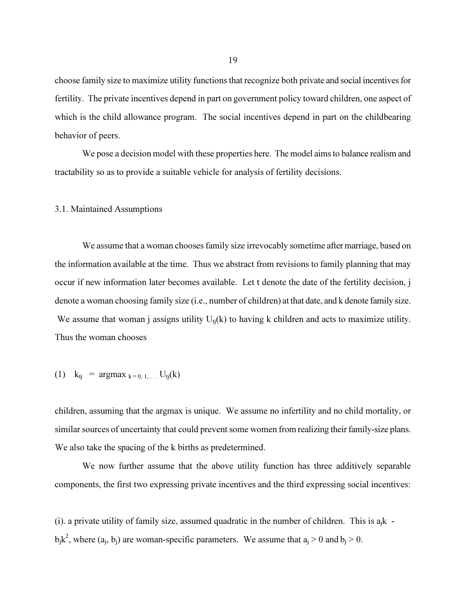choose family size to maximize utility functions that recognize both private and social incentives for fertility. The private incentives depend in part on government policy toward children, one aspect of which is the child allowance program. The social incentives depend in part on the childbearing behavior of peers.

We pose a decision model with these properties here. The model aims to balance realism and tractability so as to provide a suitable vehicle for analysis of fertility decisions.

## 3.1. Maintained Assumptions

We assume that a woman chooses family size irrevocably sometime after marriage, based on the information available at the time. Thus we abstract from revisions to family planning that may occur if new information later becomes available. Let t denote the date of the fertility decision, j denote a woman choosing family size (i.e., number of children) at that date, and k denote family size. We assume that woman j assigns utility  $U_{ti}(k)$  to having k children and acts to maximize utility. Thus the woman chooses

(1) 
$$
k_{tj} = \text{argmax}_{k=0, 1, ...} U_{tj}(k)
$$

children, assuming that the argmax is unique. We assume no infertility and no child mortality, or similar sources of uncertainty that could prevent some women from realizing their family-size plans. We also take the spacing of the k births as predetermined.

We now further assume that the above utility function has three additively separable components, the first two expressing private incentives and the third expressing social incentives:

(i). a private utility of family size, assumed quadratic in the number of children. This is  $a_i k$  $b_jk^2$ , where  $(a_j, b_j)$  are woman-specific parameters. We assume that  $a_j > 0$  and  $b_j > 0$ .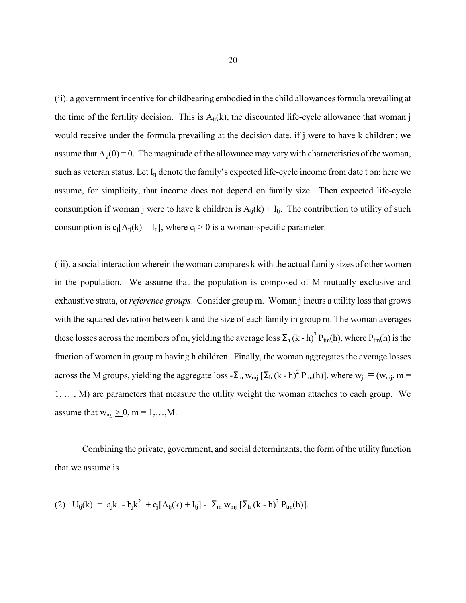(ii). a government incentive for childbearing embodied in the child allowances formula prevailing at the time of the fertility decision. This is  $A<sub>ti</sub>(k)$ , the discounted life-cycle allowance that woman j would receive under the formula prevailing at the decision date, if j were to have k children; we assume that  $A_{ti}(0) = 0$ . The magnitude of the allowance may vary with characteristics of the woman, such as veteran status. Let  $I_{ti}$  denote the family's expected life-cycle income from date t on; here we assume, for simplicity, that income does not depend on family size. Then expected life-cycle consumption if woman j were to have k children is  $A_{ti}(k) + I_{ti}$ . The contribution to utility of such consumption is  $c_i[A_{ti}(k) + I_{ti}]$ , where  $c_i > 0$  is a woman-specific parameter.

(iii). a social interaction wherein the woman compares k with the actual family sizes of other women in the population. We assume that the population is composed of M mutually exclusive and exhaustive strata, or *reference groups*. Consider group m. Woman *j* incurs a utility loss that grows with the squared deviation between k and the size of each family in group m. The woman averages these losses across the members of m, yielding the average loss  $\Sigma_h$  (k - h)<sup>2</sup> P<sub>tm</sub>(h), where P<sub>tm</sub>(h) is the fraction of women in group m having h children. Finally, the woman aggregates the average losses across the M groups, yielding the aggregate loss  $-\Sigma_m w_{mj} [\Sigma_h (k-h)^2 P_{tm}(h)]$ , where  $w_j \equiv (w_{mj}, m =$ 1, …, M) are parameters that measure the utility weight the woman attaches to each group. We assume that  $w_{mj} \geq 0$ , m = 1,...,M.

Combining the private, government, and social determinants, the form of the utility function that we assume is

(2) 
$$
U_{tj}(k) = a_j k - b_j k^2 + c_j [A_{tj}(k) + I_{tj}] - \sum_m w_{mj} [\sum_h (k - h)^2 P_{tm}(h)].
$$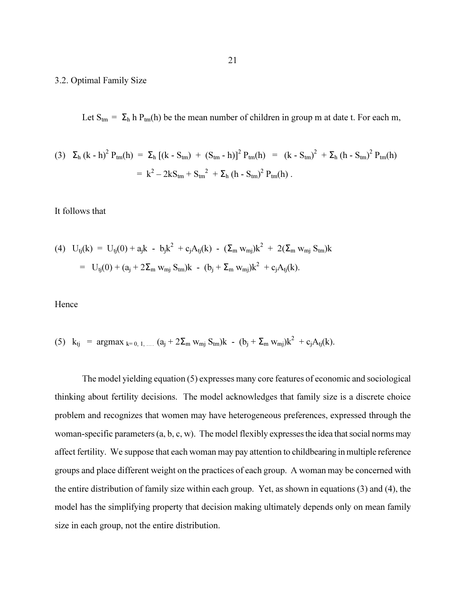## 3.2. Optimal Family Size

Let  $S_{tm} = \Sigma_h h P_{tm}(h)$  be the mean number of children in group m at date t. For each m,

(3) 
$$
\Sigma_h (k - h)^2 P_{tm}(h) = \Sigma_h [(k - S_{tm}) + (S_{tm} - h)]^2 P_{tm}(h) = (k - S_{tm})^2 + \Sigma_h (h - S_{tm})^2 P_{tm}(h)
$$
  

$$
= k^2 - 2kS_{tm} + S_{tm}^2 + \Sigma_h (h - S_{tm})^2 P_{tm}(h).
$$

It follows that

(4) 
$$
U_{tj}(k) = U_{tj}(0) + a_j k - b_j k^2 + c_j A_{tj}(k) - (\Sigma_m w_{mj})k^2 + 2(\Sigma_m w_{mj} S_{tm})k
$$
  
\n
$$
= U_{tj}(0) + (a_j + 2\Sigma_m w_{mj} S_{tm})k - (b_j + \Sigma_m w_{mj})k^2 + c_j A_{tj}(k).
$$

Hence

(5) 
$$
k_{tj} = \underset{k=0, 1, ...}{\text{argmax}}_{k=0, 1, ...}
$$
  $(a_j + 2\sum_m w_{mj} S_{tm})k - (b_j + \sum_m w_{mj})k^2 + c_j A_{tj}(k)$ .

The model yielding equation (5) expresses many core features of economic and sociological thinking about fertility decisions. The model acknowledges that family size is a discrete choice problem and recognizes that women may have heterogeneous preferences, expressed through the woman-specific parameters (a, b, c, w). The model flexibly expresses the idea that social norms may affect fertility. We suppose that each woman may pay attention to childbearing in multiple reference groups and place different weight on the practices of each group. A woman may be concerned with the entire distribution of family size within each group. Yet, as shown in equations (3) and (4), the model has the simplifying property that decision making ultimately depends only on mean family size in each group, not the entire distribution.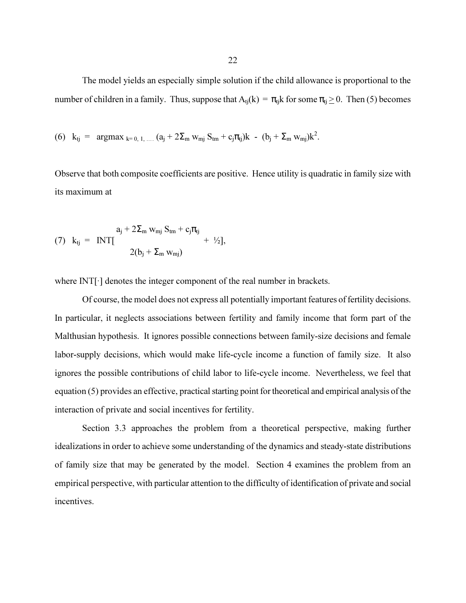The model yields an especially simple solution if the child allowance is proportional to the number of children in a family. Thus, suppose that  $A_{tj}(k) = \pi_{tj}k$  for some  $\pi_{tj} \ge 0$ . Then (5) becomes

(6) 
$$
k_{tj} = \text{argmax}_{k=0, 1, ...} (a_j + 2\Sigma_m w_{mj} S_{tm} + c_j \pi_{tj})k - (b_j + \Sigma_m w_{mj})k^2
$$
.

Observe that both composite coefficients are positive. Hence utility is quadratic in family size with its maximum at

(7) 
$$
k_{tj} = INT[-\frac{a_j + 2\Sigma_m w_{mj} S_{tm} + c_j \pi_{tj}}{2(b_j + \Sigma_m w_{mj})} + \frac{1}{2}].
$$

where INT $\lceil \cdot \rceil$  denotes the integer component of the real number in brackets.

 Of course, the model does not express all potentially important features of fertility decisions. In particular, it neglects associations between fertility and family income that form part of the Malthusian hypothesis. It ignores possible connections between family-size decisions and female labor-supply decisions, which would make life-cycle income a function of family size. It also ignores the possible contributions of child labor to life-cycle income. Nevertheless, we feel that equation (5) provides an effective, practical starting point for theoretical and empirical analysis of the interaction of private and social incentives for fertility.

Section 3.3 approaches the problem from a theoretical perspective, making further idealizations in order to achieve some understanding of the dynamics and steady-state distributions of family size that may be generated by the model. Section 4 examines the problem from an empirical perspective, with particular attention to the difficulty of identification of private and social incentives.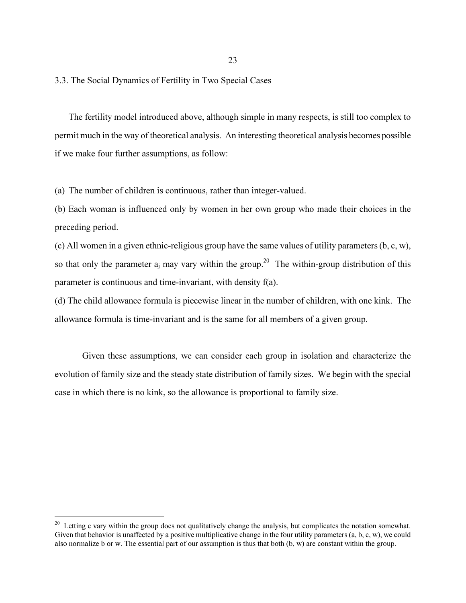3.3. The Social Dynamics of Fertility in Two Special Cases

The fertility model introduced above, although simple in many respects, is still too complex to permit much in the way of theoretical analysis. An interesting theoretical analysis becomes possible if we make four further assumptions, as follow:

(a) The number of children is continuous, rather than integer-valued.

(b) Each woman is influenced only by women in her own group who made their choices in the preceding period.

(c) All women in a given ethnic-religious group have the same values of utility parameters (b, c, w), so that only the parameter  $a_i$  may vary within the group.<sup>20</sup> The within-group distribution of this parameter is continuous and time-invariant, with density f(a).

(d) The child allowance formula is piecewise linear in the number of children, with one kink. The allowance formula is time-invariant and is the same for all members of a given group.

Given these assumptions, we can consider each group in isolation and characterize the evolution of family size and the steady state distribution of family sizes. We begin with the special case in which there is no kink, so the allowance is proportional to family size.

 $20<sup>20</sup>$  Letting c vary within the group does not qualitatively change the analysis, but complicates the notation somewhat. Given that behavior is unaffected by a positive multiplicative change in the four utility parameters  $(a, b, c, w)$ , we could also normalize b or w. The essential part of our assumption is thus that both (b, w) are constant within the group.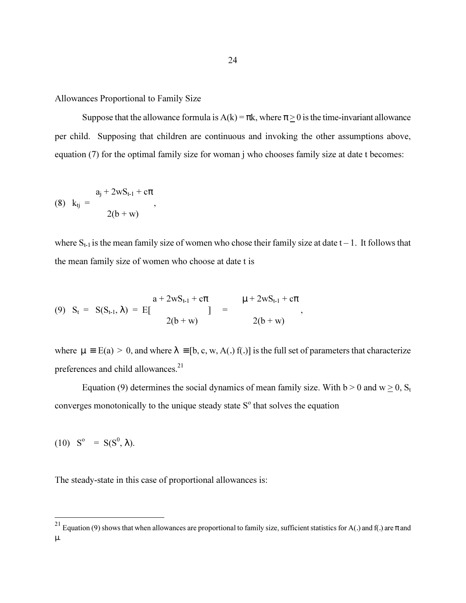Allowances Proportional to Family Size

Suppose that the allowance formula is  $A(k) = \pi k$ , where  $\pi > 0$  is the time-invariant allowance per child. Supposing that children are continuous and invoking the other assumptions above, equation (7) for the optimal family size for woman j who chooses family size at date t becomes:

(8) 
$$
k_{tj} = \frac{a_j + 2wS_{t-1} + c\pi}{2(b+w)},
$$

where  $S_{t-1}$  is the mean family size of women who chose their family size at date  $t-1$ . It follows that the mean family size of women who choose at date t is

(9) 
$$
S_t = S(S_{t-1}, \lambda) = E[\frac{a + 2wS_{t-1} + c\pi}{2(b+w)}]
$$
 =  $\frac{\mu + 2wS_{t-1} + c\pi}{2(b+w)},$ 

where  $\mu = E(a) > 0$ , and where  $\lambda = [b, c, w, A(.)$  f(.)) is the full set of parameters that characterize preferences and child allowances.<sup>21</sup>

Equation (9) determines the social dynamics of mean family size. With  $b > 0$  and  $w \ge 0$ , S<sub>t</sub> converges monotonically to the unique steady state  $S<sup>o</sup>$  that solves the equation

(10)  $S^{\circ} = S(S^{\circ}, \lambda)$ .

 $\overline{a}$ 

The steady-state in this case of proportional allowances is:

<sup>&</sup>lt;sup>21</sup> Equation (9) shows that when allowances are proportional to family size, sufficient statistics for A(.) and f(.) are π and µ.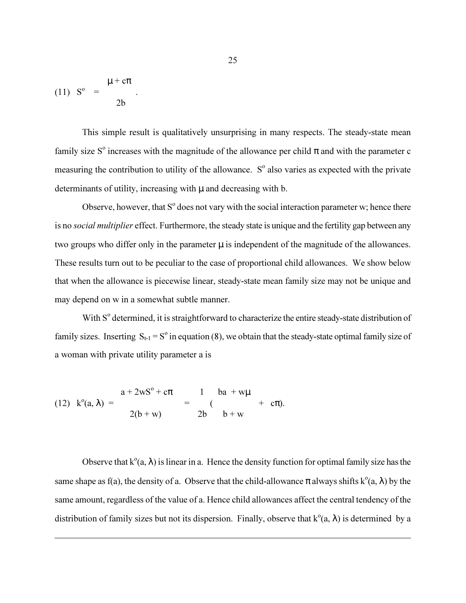$$
(11) So = \frac{\mu + c\pi}{2b}.
$$

 $\overline{a}$ 

This simple result is qualitatively unsurprising in many respects. The steady-state mean family size S<sup>o</sup> increases with the magnitude of the allowance per child  $\pi$  and with the parameter c measuring the contribution to utility of the allowance.  $S<sup>o</sup>$  also varies as expected with the private determinants of utility, increasing with  $\mu$  and decreasing with b.

Observe, however, that  $S^{\circ}$  does not vary with the social interaction parameter w; hence there is no *social multiplier* effect. Furthermore, the steady state is unique and the fertility gap between any two groups who differ only in the parameter  $\mu$  is independent of the magnitude of the allowances. These results turn out to be peculiar to the case of proportional child allowances. We show below that when the allowance is piecewise linear, steady-state mean family size may not be unique and may depend on w in a somewhat subtle manner.

With  $S<sup>o</sup>$  determined, it is straightforward to characterize the entire steady-state distribution of family sizes. Inserting  $S_{t-1} = S^{\circ}$  in equation (8), we obtain that the steady-state optimal family size of a woman with private utility parameter a is

(12) 
$$
k^{0}(a, \lambda) = \frac{a + 2wS^{0} + c\pi}{2(b+w)} = \frac{1}{2b} \frac{ba + w\mu}{b+w} + c\pi.
$$

Observe that  $k^{\circ}(a, \lambda)$  is linear in a. Hence the density function for optimal family size has the same shape as f(a), the density of a. Observe that the child-allowance  $\pi$  always shifts  $k^{\circ}(a, \lambda)$  by the same amount, regardless of the value of a. Hence child allowances affect the central tendency of the distribution of family sizes but not its dispersion. Finally, observe that  $k^{\circ}(a, \lambda)$  is determined by a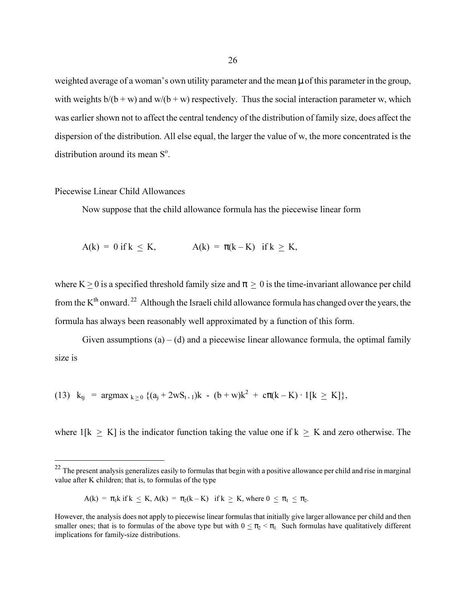weighted average of a woman's own utility parameter and the mean  $\mu$  of this parameter in the group, with weights  $b/(b + w)$  and  $w/(b + w)$  respectively. Thus the social interaction parameter w, which was earlier shown not to affect the central tendency of the distribution of family size, does affect the dispersion of the distribution. All else equal, the larger the value of w, the more concentrated is the distribution around its mean  $S^{\circ}$ .

### Piecewise Linear Child Allowances

 $\overline{a}$ 

Now suppose that the child allowance formula has the piecewise linear form

$$
A(k) = 0 \text{ if } k \leq K, \qquad A(k) = \pi(k - K) \text{ if } k \geq K,
$$

where K > 0 is a specified threshold family size and  $\pi$  > 0 is the time-invariant allowance per child from the  $K<sup>th</sup>$  onward.<sup>22</sup> Although the Israeli child allowance formula has changed over the years, the formula has always been reasonably well approximated by a function of this form.

Given assumptions  $(a) - (d)$  and a piecewise linear allowance formula, the optimal family size is

(13) 
$$
k_{tj} = \argmax_{k \ge 0} \{ (a_j + 2wS_{t-1})k - (b+w)k^2 + c\pi(k-K) \cdot 1[k \ge K] \},
$$

where  $1[k \geq K]$  is the indicator function taking the value one if  $k \geq K$  and zero otherwise. The

$$
A(k) = \pi_1 k \text{ if } k \leq K, A(k) = \pi_2(k - K) \text{ if } k \geq K, \text{ where } 0 \leq \pi_1 \leq \pi_2.
$$

 $22$  The present analysis generalizes easily to formulas that begin with a positive allowance per child and rise in marginal value after K children; that is, to formulas of the type

However, the analysis does not apply to piecewise linear formulas that initially give larger allowance per child and then smaller ones; that is to formulas of the above type but with  $0 \leq \pi$ <sub>2</sub>  $\lt \pi$ <sub>1</sub>. Such formulas have qualitatively different implications for family-size distributions.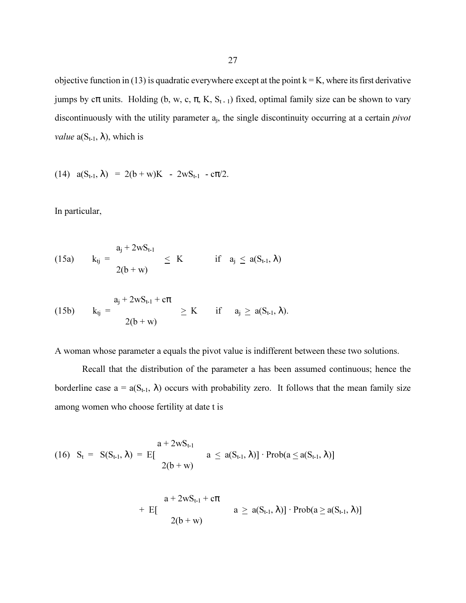objective function in (13) is quadratic everywhere except at the point  $k = K$ , where its first derivative jumps by  $c\pi$  units. Holding (b, w, c,  $\pi$ , K, S<sub>t-1</sub>) fixed, optimal family size can be shown to vary discontinuously with the utility parameter  $a_i$ , the single discontinuity occurring at a certain *pivot value*  $a(S_{t-1}, \lambda)$ , which is

(14)  $a(S_{t-1}, \lambda) = 2(b+w)K - 2wS_{t-1} - c\pi/2$ .

In particular,

(15a) 
$$
k_{tj} = \frac{a_j + 2wS_{t-1}}{2(b+w)} \le K
$$
 if  $a_j \le a(S_{t-1}, \lambda)$ 

(15b) 
$$
k_{tj} = \frac{a_j + 2wS_{t-1} + c\pi}{2(b+w)} \ge K
$$
 if  $a_j \ge a(S_{t-1}, \lambda)$ .

A woman whose parameter a equals the pivot value is indifferent between these two solutions.

Recall that the distribution of the parameter a has been assumed continuous; hence the borderline case  $a = a(S_{t-1}, \lambda)$  occurs with probability zero. It follows that the mean family size among women who choose fertility at date t is

$$
(16) \quad S_t = \quad S(S_{t-1}, \lambda) = E[\frac{a + 2wS_{t-1}}{2(b+w)} \mid a \leq a(S_{t-1}, \lambda)] \cdot Prob(a \leq a(S_{t-1}, \lambda)]
$$

$$
+ \ \ \mathop{\rm E{}}\limits_{\text{E}\left[\, - \, - \, 2(b+w)\right]} \ \ \bigl|\ \ a \, \geq \, a(S_{t\text{-}1},\lambda)\bigr] \cdot \mathop{\rm Prob{}}\limits_{\text{E}\left[\, a\, \geq \, a(S_{t\text{-}1},\lambda)\right]} \ \ \bigr|
$$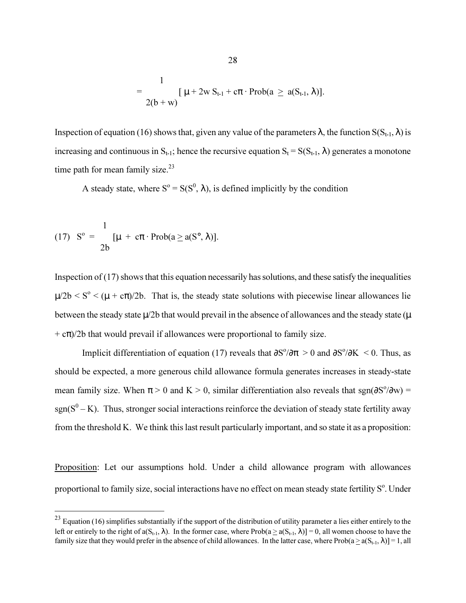$$
= \frac{1}{2(b+w)} [\mu + 2w S_{t-1} + c\pi \cdot Prob(a \ge a(S_{t-1}, \lambda)].
$$

Inspection of equation (16) shows that, given any value of the parameters  $\lambda$ , the function  $S(S_{t-1}, \lambda)$  is increasing and continuous in  $S_{t-1}$ ; hence the recursive equation  $S_t = S(S_{t-1}, \lambda)$  generates a monotone time path for mean family size. $^{23}$ 

A steady state, where  $S^{\circ} = S(S^{\circ}, \lambda)$ , is defined implicitly by the condition

(17) 
$$
S^{\circ} = \frac{1}{2b} [\mu + c\pi \cdot Prob(a \ge a(S^{\circ}, \lambda)].
$$

 $\overline{a}$ 

Inspection of  $(17)$  shows that this equation necessarily has solutions, and these satisfy the inequalities  $\mu/2b \leq S^{\circ} \leq (\mu + c\pi)/2b$ . That is, the steady state solutions with piecewise linear allowances lie between the steady state  $\mu/2b$  that would prevail in the absence of allowances and the steady state ( $\mu$  $+ c\pi/2b$  that would prevail if allowances were proportional to family size.

Implicit differentiation of equation (17) reveals that  $\partial S^{\circ}/\partial \pi > 0$  and  $\partial S^{\circ}/\partial K < 0$ . Thus, as should be expected, a more generous child allowance formula generates increases in steady-state mean family size. When  $\pi > 0$  and K  $> 0$ , similar differentiation also reveals that sgn( $\partial S^0/\partial w$ ) =  $sgn(S^0 - K)$ . Thus, stronger social interactions reinforce the deviation of steady state fertility away from the threshold K. We think this last result particularly important, and so state it as a proposition:

Proposition: Let our assumptions hold. Under a child allowance program with allowances proportional to family size, social interactions have no effect on mean steady state fertility  $S^{\circ}$ . Under

 $2<sup>23</sup>$  Equation (16) simplifies substantially if the support of the distribution of utility parameter a lies either entirely to the left or entirely to the right of  $a(S_{t-1}, \lambda)$ . In the former case, where Prob( $a \ge a(S_{t-1}, \lambda)$ ] = 0, all women choose to have the family size that they would prefer in the absence of child allowances. In the latter case, where  $Prob(a > a(S_{t-1}, \lambda)]=1$ , all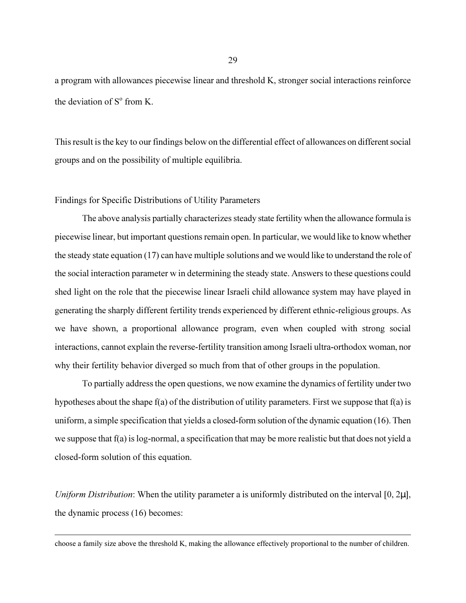a program with allowances piecewise linear and threshold K, stronger social interactions reinforce the deviation of  $S^{\circ}$  from K.

This result is the key to our findings below on the differential effect of allowances on different social groups and on the possibility of multiple equilibria.

# Findings for Specific Distributions of Utility Parameters

 $\overline{a}$ 

The above analysis partially characterizes steady state fertility when the allowance formula is piecewise linear, but important questions remain open. In particular, we would like to know whether the steady state equation (17) can have multiple solutions and we would like to understand the role of the social interaction parameter w in determining the steady state. Answers to these questions could shed light on the role that the piecewise linear Israeli child allowance system may have played in generating the sharply different fertility trends experienced by different ethnic-religious groups. As we have shown, a proportional allowance program, even when coupled with strong social interactions, cannot explain the reverse-fertility transition among Israeli ultra-orthodox woman, nor why their fertility behavior diverged so much from that of other groups in the population.

To partially address the open questions, we now examine the dynamics of fertility under two hypotheses about the shape f(a) of the distribution of utility parameters. First we suppose that f(a) is uniform, a simple specification that yields a closed-form solution of the dynamic equation (16). Then we suppose that f(a) is log-normal, a specification that may be more realistic but that does not yield a closed-form solution of this equation.

Uniform Distribution: When the utility parameter a is uniformly distributed on the interval  $[0, 2\mu]$ , the dynamic process (16) becomes:

choose a family size above the threshold K, making the allowance effectively proportional to the number of children.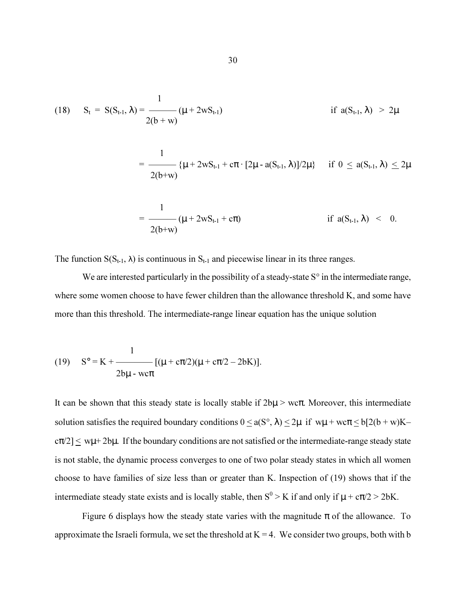(18) 
$$
S_t = S(S_{t-1}, \lambda) = \frac{1}{2(b+w)} (\mu + 2wS_{t-1})
$$
 if  $a(S_{t-1}, \lambda) > 2\mu$ 

$$
= \frac{1}{2(b+w)}\{\mu + 2wS_{t-1} + c\pi \cdot [2\mu - a(S_{t-1}, \lambda)]/2\mu\} \quad \text{ if } 0 \leq a(S_{t-1}, \lambda) \leq 2\mu
$$

$$
= \frac{1}{2(b+w)} (\mu + 2wS_{t-1} + c\pi)
$$
 if  $a(S_{t-1}, \lambda) < 0$ .

The function  $S(S_{t-1}, \lambda)$  is continuous in  $S_{t-1}$  and piecewise linear in its three ranges.

We are interested particularly in the possibility of a steady-state S° in the intermediate range, where some women choose to have fewer children than the allowance threshold K, and some have more than this threshold. The intermediate-range linear equation has the unique solution

(19) 
$$
S^{\circ} = K + \frac{1}{2b\mu - w\tau} [(\mu + c\pi/2)(\mu + c\pi/2 - 2bK)].
$$

It can be shown that this steady state is locally stable if  $2b\mu$  > wc $\pi$ . Moreover, this intermediate solution satisfies the required boundary conditions  $0 \le a(S^{\circ}, \lambda) \le 2\mu$  if  $w\mu + w\sigma \le b[2(b+w)K-\sigma]$  $c\pi/2$   $\leq$  w $\mu$ +2b $\mu$ . If the boundary conditions are not satisfied or the intermediate-range steady state is not stable, the dynamic process converges to one of two polar steady states in which all women choose to have families of size less than or greater than K. Inspection of (19) shows that if the intermediate steady state exists and is locally stable, then  $S^0 > K$  if and only if  $\mu + c\pi/2 > 2bK$ .

Figure 6 displays how the steady state varies with the magnitude  $\pi$  of the allowance. To approximate the Israeli formula, we set the threshold at  $K = 4$ . We consider two groups, both with b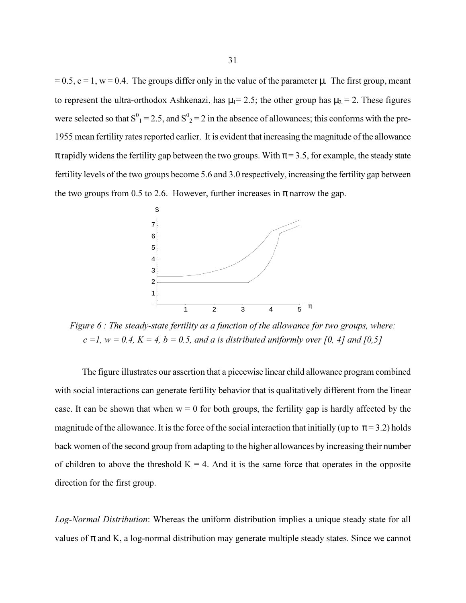$= 0.5$ ,  $c = 1$ ,  $w = 0.4$ . The groups differ only in the value of the parameter  $\mu$ . The first group, meant to represent the ultra-orthodox Ashkenazi, has  $\mu_1 = 2.5$ ; the other group has  $\mu_2 = 2$ . These figures were selected so that  $S^0{}_1 = 2.5$ , and  $S^0{}_2 = 2$  in the absence of allowances; this conforms with the pre-1955 mean fertility rates reported earlier. It is evident that increasing the magnitude of the allowance  $\pi$  rapidly widens the fertility gap between the two groups. With  $\pi$  = 3.5, for example, the steady state fertility levels of the two groups become 5.6 and 3.0 respectively, increasing the fertility gap between the two groups from 0.5 to 2.6. However, further increases in  $\pi$  narrow the gap.



Figure 6 : The steady-state fertility as a function of the allowance for two groups, where:  $c = 1$ ,  $w = 0.4$ ,  $K = 4$ ,  $b = 0.5$ , and a is distributed uniformly over [0, 4] and [0,5]

The figure illustrates our assertion that a piecewise linear child allowance program combined with social interactions can generate fertility behavior that is qualitatively different from the linear case. It can be shown that when  $w = 0$  for both groups, the fertility gap is hardly affected by the magnitude of the allowance. It is the force of the social interaction that initially (up to  $\pi$  = 3.2) holds back women of the second group from adapting to the higher allowances by increasing their number of children to above the threshold  $K = 4$ . And it is the same force that operates in the opposite direction for the first group.

Log-Normal Distribution: Whereas the uniform distribution implies a unique steady state for all values of  $\pi$  and K, a log-normal distribution may generate multiple steady states. Since we cannot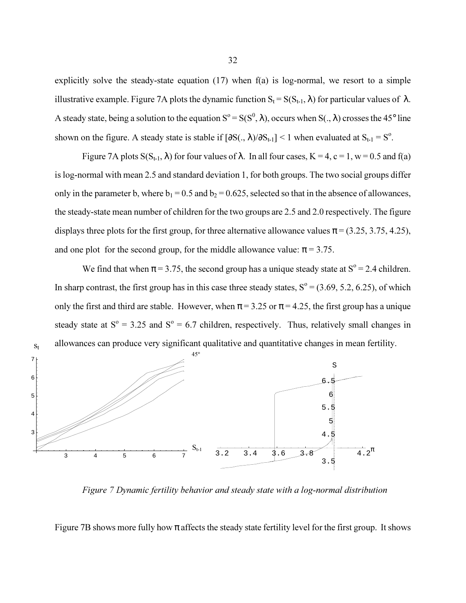explicitly solve the steady-state equation (17) when f(a) is log-normal, we resort to a simple illustrative example. Figure 7A plots the dynamic function  $S_t = S(S_{t-1}, \lambda)$  for particular values of  $\lambda$ . A steady state, being a solution to the equation  $S^{\circ} = S(S^{\circ}, \lambda)$ , occurs when  $S(., \lambda)$  crosses the 45° line shown on the figure. A steady state is stable if  $[\partial S(., \lambda)/\partial S_{t-1}]$  < 1 when evaluated at  $S_{t-1} = S^0$ .

Figure 7A plots  $S(S_{t-1}, \lambda)$  for four values of  $\lambda$ . In all four cases,  $K = 4$ ,  $c = 1$ ,  $w = 0.5$  and f(a) is log-normal with mean 2.5 and standard deviation 1, for both groups. The two social groups differ only in the parameter b, where  $b_1 = 0.5$  and  $b_2 = 0.625$ , selected so that in the absence of allowances, the steady-state mean number of children for the two groups are 2.5 and 2.0 respectively. The figure displays three plots for the first group, for three alternative allowance values  $\pi = (3.25, 3.75, 4.25)$ , and one plot for the second group, for the middle allowance value:  $\pi$  = 3.75.

We find that when  $\pi$  = 3.75, the second group has a unique steady state at S<sup>o</sup> = 2.4 children. In sharp contrast, the first group has in this case three steady states,  $S^{\circ} = (3.69, 5.2, 6.25)$ , of which only the first and third are stable. However, when  $\pi$  = 3.25 or  $\pi$  = 4.25, the first group has a unique steady state at  $S^{\circ} = 3.25$  and  $S^{\circ} = 6.7$  children, respectively. Thus, relatively small changes in allowances can produce very significant qualitative and quantitative changes in mean fertility.



Figure 7 Dynamic fertility behavior and steady state with a log-normal distribution

Figure 7B shows more fully how  $\pi$  affects the steady state fertility level for the first group. It shows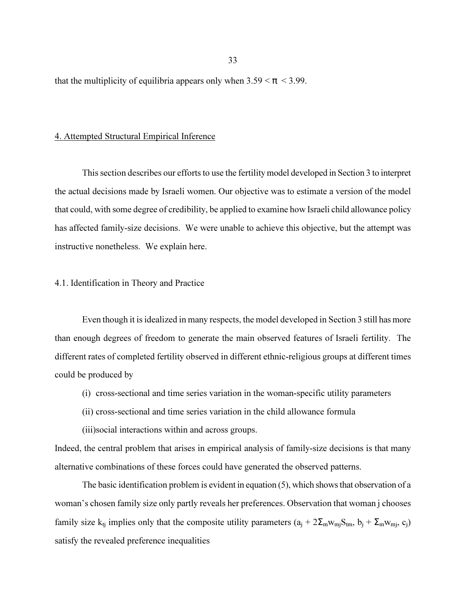that the multiplicity of equilibria appears only when  $3.59 < \pi < 3.99$ .

### 4. Attempted Structural Empirical Inference

This section describes our efforts to use the fertility model developed in Section 3 to interpret the actual decisions made by Israeli women. Our objective was to estimate a version of the model that could, with some degree of credibility, be applied to examine how Israeli child allowance policy has affected family-size decisions. We were unable to achieve this objective, but the attempt was instructive nonetheless. We explain here.

### 4.1. Identification in Theory and Practice

Even though it is idealized in many respects, the model developed in Section 3 still has more than enough degrees of freedom to generate the main observed features of Israeli fertility. The different rates of completed fertility observed in different ethnic-religious groups at different times could be produced by

- (i) cross-sectional and time series variation in the woman-specific utility parameters
- (ii) cross-sectional and time series variation in the child allowance formula
- (iii)social interactions within and across groups.

Indeed, the central problem that arises in empirical analysis of family-size decisions is that many alternative combinations of these forces could have generated the observed patterns.

The basic identification problem is evident in equation (5), which shows that observation of a woman's chosen family size only partly reveals her preferences. Observation that woman j chooses family size k<sub>tj</sub> implies only that the composite utility parameters  $(a_i + 2\sum_m w_m S_{tm}, b_i + \sum_m w_{mj}, c_i)$ satisfy the revealed preference inequalities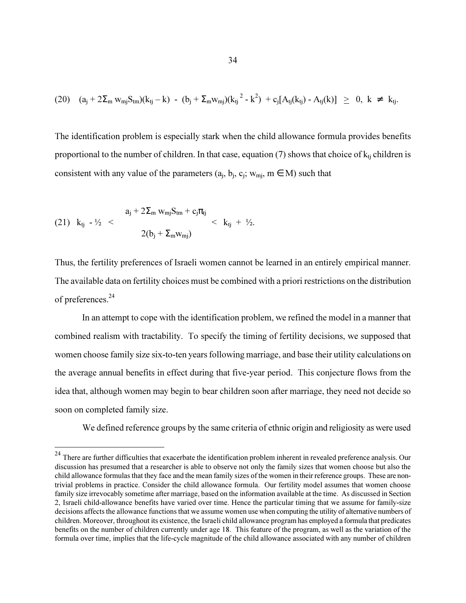$$
(20) \quad (a_j + 2\Sigma_m w_{mj} S_{tm})(k_{tj} - k) - (b_j + \Sigma_m w_{mj})(k_{tj}^2 - k^2) + c_j [A_{tj}(k_{tj}) - A_{tj}(k)] \geq 0, \ k \neq k_{tj}.
$$

The identification problem is especially stark when the child allowance formula provides benefits proportional to the number of children. In that case, equation (7) shows that choice of  $k_{ti}$  children is consistent with any value of the parameters  $(a_i, b_i, c_i; w_{mi}, m \in M)$  such that

(21) 
$$
k_{tj} - \frac{1}{2} < \frac{a_j + 2\Sigma_m w_{mj} S_{tm} + c_j \pi_{tj}}{2(b_j + \Sigma_m w_{mj})} < k_{tj} + \frac{1}{2}.
$$

l

Thus, the fertility preferences of Israeli women cannot be learned in an entirely empirical manner. The available data on fertility choices must be combined with a priori restrictions on the distribution of preferences.<sup>24</sup>

 In an attempt to cope with the identification problem, we refined the model in a manner that combined realism with tractability. To specify the timing of fertility decisions, we supposed that women choose family size six-to-ten years following marriage, and base their utility calculations on the average annual benefits in effect during that five-year period. This conjecture flows from the idea that, although women may begin to bear children soon after marriage, they need not decide so soon on completed family size.

We defined reference groups by the same criteria of ethnic origin and religiosity as were used

<sup>&</sup>lt;sup>24</sup> There are further difficulties that exacerbate the identification problem inherent in revealed preference analysis. Our discussion has presumed that a researcher is able to observe not only the family sizes that women choose but also the child allowance formulas that they face and the mean family sizes of the women in their reference groups. These are nontrivial problems in practice. Consider the child allowance formula. Our fertility model assumes that women choose family size irrevocably sometime after marriage, based on the information available at the time. As discussed in Section 2, Israeli child-allowance benefits have varied over time. Hence the particular timing that we assume for family-size decisions affects the allowance functions that we assume women use when computing the utility of alternative numbers of children. Moreover, throughout its existence, the Israeli child allowance program has employed a formula that predicates benefits on the number of children currently under age 18. This feature of the program, as well as the variation of the formula over time, implies that the life-cycle magnitude of the child allowance associated with any number of children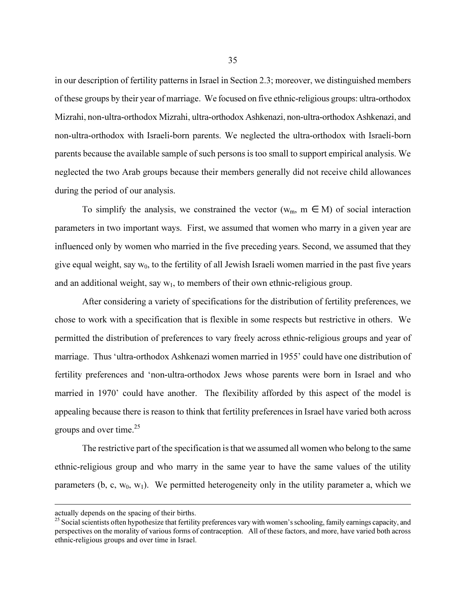in our description of fertility patterns in Israel in Section 2.3; moreover, we distinguished members of these groups by their year of marriage. We focused on five ethnic-religious groups: ultra-orthodox Mizrahi, non-ultra-orthodox Mizrahi, ultra-orthodox Ashkenazi, non-ultra-orthodox Ashkenazi, and non-ultra-orthodox with Israeli-born parents. We neglected the ultra-orthodox with Israeli-born parents because the available sample of such persons is too small to support empirical analysis. We neglected the two Arab groups because their members generally did not receive child allowances during the period of our analysis.

To simplify the analysis, we constrained the vector ( $w_m$ ,  $m \in M$ ) of social interaction parameters in two important ways. First, we assumed that women who marry in a given year are influenced only by women who married in the five preceding years. Second, we assumed that they give equal weight, say  $w_0$ , to the fertility of all Jewish Israeli women married in the past five years and an additional weight, say  $w_1$ , to members of their own ethnic-religious group.

After considering a variety of specifications for the distribution of fertility preferences, we chose to work with a specification that is flexible in some respects but restrictive in others. We permitted the distribution of preferences to vary freely across ethnic-religious groups and year of marriage. Thus 'ultra-orthodox Ashkenazi women married in 1955' could have one distribution of fertility preferences and 'non-ultra-orthodox Jews whose parents were born in Israel and who married in 1970' could have another. The flexibility afforded by this aspect of the model is appealing because there is reason to think that fertility preferences in Israel have varied both across groups and over time. $^{25}$ 

The restrictive part of the specification is that we assumed all women who belong to the same ethnic-religious group and who marry in the same year to have the same values of the utility parameters (b, c,  $w_0$ ,  $w_1$ ). We permitted heterogeneity only in the utility parameter a, which we

l

actually depends on the spacing of their births.

<sup>&</sup>lt;sup>25</sup> Social scientists often hypothesize that fertility preferences vary with women's schooling, family earnings capacity, and perspectives on the morality of various forms of contraception. All of these factors, and more, have varied both across ethnic-religious groups and over time in Israel.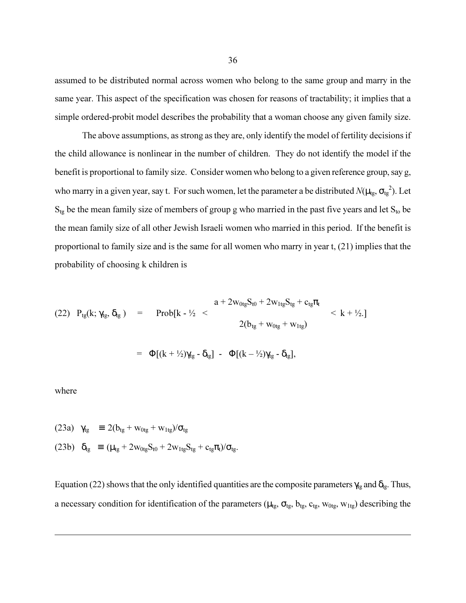assumed to be distributed normal across women who belong to the same group and marry in the same year. This aspect of the specification was chosen for reasons of tractability; it implies that a simple ordered-probit model describes the probability that a woman choose any given family size.

The above assumptions, as strong as they are, only identify the model of fertility decisions if the child allowance is nonlinear in the number of children. They do not identify the model if the benefit is proportional to family size. Consider women who belong to a given reference group, say g, who marry in a given year, say t. For such women, let the parameter a be distributed  $N(\mu_{tg}, \sigma_{tg}^2)$ . Let  $S_{tg}$  be the mean family size of members of group g who married in the past five years and let  $S_{to}$  be the mean family size of all other Jewish Israeli women who married in this period. If the benefit is proportional to family size and is the same for all women who marry in year t, (21) implies that the probability of choosing k children is

(22) 
$$
P_{tg}(k; \gamma_{tg}, \delta_{tg})
$$
 = Prob[k - <sup>1</sup>/<sub>2</sub> <  $\frac{a + 2w_{0tg}S_{t0} + 2w_{1tg}S_{tg} + c_{tg}\pi_t}{2(b_{tg} + w_{0tg} + w_{1tg})}$   $< k + \frac{1}{2}$ .]  
=  $\Phi[(k + \frac{1}{2})\gamma_{tg} - \delta_{tg}] - \Phi[(k - \frac{1}{2})\gamma_{tg} - \delta_{tg}],$ 

where

 $\overline{a}$ 

(23a)  $\gamma_{tg} \equiv 2(b_{tg} + w_{0tg} + w_{1tg})/\sigma_{tg}$ (23b)  $\delta_{tg} \equiv (\mu_{tg} + 2w_{0tg}S_{t0} + 2w_{1tg}S_{tg} + c_{tg}\pi_t)/\sigma_{tg}$ .

Equation (22) shows that the only identified quantities are the composite parameters  $\gamma_{tg}$  and  $\delta_{tg}$ . Thus, a necessary condition for identification of the parameters ( $\mu_{tg}$ ,  $\sigma_{tg}$ ,  $b_{tg}$ ,  $c_{tg}$ ,  $w_{0tg}$ ,  $w_{1tg}$ ) describing the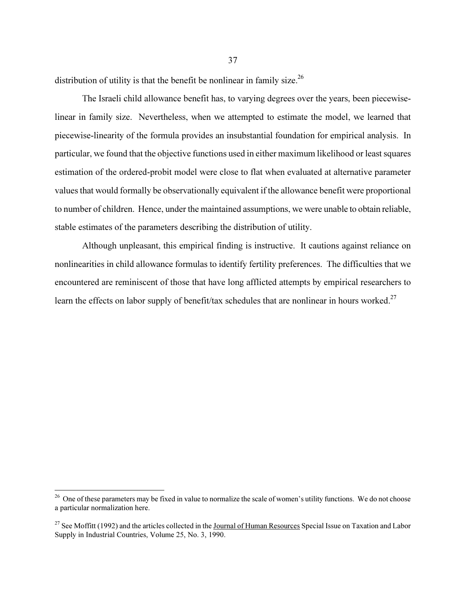distribution of utility is that the benefit be nonlinear in family size.<sup>26</sup>

The Israeli child allowance benefit has, to varying degrees over the years, been piecewiselinear in family size. Nevertheless, when we attempted to estimate the model, we learned that piecewise-linearity of the formula provides an insubstantial foundation for empirical analysis. In particular, we found that the objective functions used in either maximum likelihood or least squares estimation of the ordered-probit model were close to flat when evaluated at alternative parameter values that would formally be observationally equivalent if the allowance benefit were proportional to number of children. Hence, under the maintained assumptions, we were unable to obtain reliable, stable estimates of the parameters describing the distribution of utility.

 Although unpleasant, this empirical finding is instructive. It cautions against reliance on nonlinearities in child allowance formulas to identify fertility preferences. The difficulties that we encountered are reminiscent of those that have long afflicted attempts by empirical researchers to learn the effects on labor supply of benefit/tax schedules that are nonlinear in hours worked.<sup>27</sup>

 $26$  One of these parameters may be fixed in value to normalize the scale of women's utility functions. We do not choose a particular normalization here.

<sup>&</sup>lt;sup>27</sup> See Moffitt (1992) and the articles collected in the Journal of Human Resources Special Issue on Taxation and Labor Supply in Industrial Countries, Volume 25, No. 3, 1990.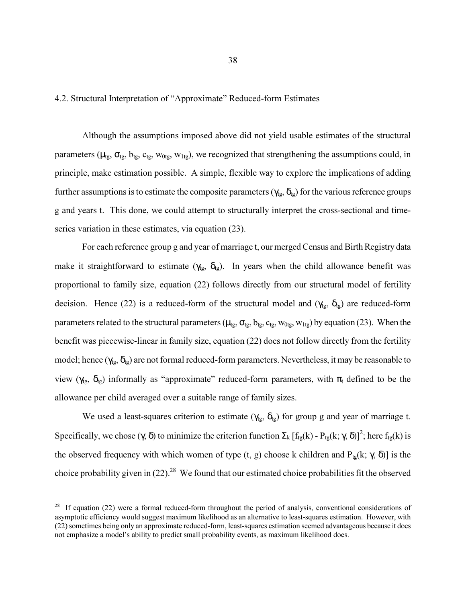4.2. Structural Interpretation of "Approximate" Reduced-form Estimates

 Although the assumptions imposed above did not yield usable estimates of the structural parameters ( $\mu_{tg}$ ,  $\sigma_{tg}$ ,  $b_{tg}$ ,  $c_{tg}$ ,  $w_{0tg}$ ,  $w_{1tg}$ ), we recognized that strengthening the assumptions could, in principle, make estimation possible. A simple, flexible way to explore the implications of adding further assumptions is to estimate the composite parameters ( $\gamma_{tg}$ ,  $\delta_{tg}$ ) for the various reference groups g and years t. This done, we could attempt to structurally interpret the cross-sectional and timeseries variation in these estimates, via equation (23).

For each reference group g and year of marriage t, our merged Census and Birth Registry data make it straightforward to estimate ( $\gamma_{tg}$ ,  $\delta_{tg}$ ). In years when the child allowance benefit was proportional to family size, equation (22) follows directly from our structural model of fertility decision. Hence (22) is a reduced-form of the structural model and ( $\gamma_{tg}$ ,  $\delta_{tg}$ ) are reduced-form parameters related to the structural parameters ( $\mu_{tg}$ ,  $\sigma_{tg}$ ,  $b_{tg}$ ,  $c_{tg}$ ,  $w_{0tg}$ ,  $w_{1tg}$ ) by equation (23). When the benefit was piecewise-linear in family size, equation (22) does not follow directly from the fertility model; hence  $(\gamma_{tg}, \delta_{tg})$  are not formal reduced-form parameters. Nevertheless, it may be reasonable to view ( $\gamma_{tg}$ ,  $\delta_{tg}$ ) informally as "approximate" reduced-form parameters, with  $\pi_t$  defined to be the allowance per child averaged over a suitable range of family sizes.

We used a least-squares criterion to estimate ( $\gamma_{tg}$ ,  $\delta_{tg}$ ) for group g and year of marriage t. Specifically, we chose  $(\gamma, \delta)$  to minimize the criterion function  $\Sigma_k [f_{tg}(k) - P_{tg}(k; \gamma, \delta)]^2$ ; here  $f_{tg}(k)$  is the observed frequency with which women of type (t, g) choose k children and P<sub>tg</sub>(k; γ, δ)] is the choice probability given in  $(22)^{28}$  We found that our estimated choice probabilities fit the observed

 $28$  If equation (22) were a formal reduced-form throughout the period of analysis, conventional considerations of asymptotic efficiency would suggest maximum likelihood as an alternative to least-squares estimation. However, with (22) sometimes being only an approximate reduced-form, least-squares estimation seemed advantageous because it does not emphasize a model's ability to predict small probability events, as maximum likelihood does.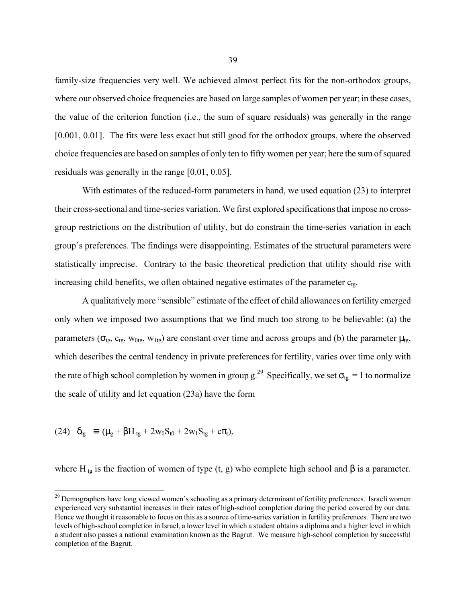family-size frequencies very well. We achieved almost perfect fits for the non-orthodox groups, where our observed choice frequencies are based on large samples of women per year; in these cases, the value of the criterion function (i.e., the sum of square residuals) was generally in the range [0.001, 0.01]. The fits were less exact but still good for the orthodox groups, where the observed choice frequencies are based on samples of only ten to fifty women per year; here the sum of squared residuals was generally in the range [0.01, 0.05].

With estimates of the reduced-form parameters in hand, we used equation (23) to interpret their cross-sectional and time-series variation. We first explored specifications that impose no crossgroup restrictions on the distribution of utility, but do constrain the time-series variation in each group's preferences. The findings were disappointing. Estimates of the structural parameters were statistically imprecise. Contrary to the basic theoretical prediction that utility should rise with increasing child benefits, we often obtained negative estimates of the parameter  $c_{te}$ .

A qualitatively more "sensible" estimate of the effect of child allowances on fertility emerged only when we imposed two assumptions that we find much too strong to be believable: (a) the parameters ( $\sigma_{tg}$ ,  $c_{tg}$ ,  $w_{0tg}$ ,  $w_{1tg}$ ) are constant over time and across groups and (b) the parameter  $\mu_{tg}$ , which describes the central tendency in private preferences for fertility, varies over time only with the rate of high school completion by women in group g.<sup>29</sup> Specifically, we set  $\sigma_{tg} = 1$  to normalize the scale of utility and let equation (23a) have the form

(24)  $\delta_{\text{tg}} \equiv (\mu_{\text{g}} + \beta H_{\text{tg}} + 2w_0S_{\text{t0}} + 2w_1S_{\text{tg}} + c\pi_{\text{t}}),$ 

 $\overline{a}$ 

where H<sub>tg</sub> is the fraction of women of type (t, g) who complete high school and  $\beta$  is a parameter.

 $^{29}$  Demographers have long viewed women's schooling as a primary determinant of fertility preferences. Israeli women experienced very substantial increases in their rates of high-school completion during the period covered by our data. Hence we thought it reasonable to focus on this as a source of time-series variation in fertility preferences. There are two levels of high-school completion in Israel, a lower level in which a student obtains a diploma and a higher level in which a student also passes a national examination known as the Bagrut. We measure high-school completion by successful completion of the Bagrut.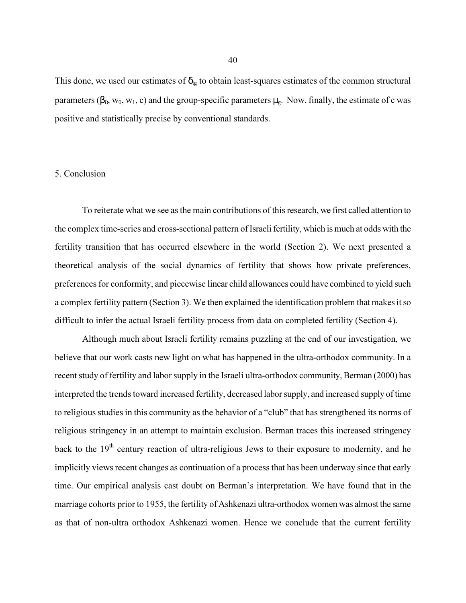This done, we used our estimates of  $\delta_{tg}$  to obtain least-squares estimates of the common structural parameters ( $\beta_{\delta}$ , w<sub>0</sub>, w<sub>1</sub>, c) and the group-specific parameters  $\mu_{\epsilon}$ . Now, finally, the estimate of c was positive and statistically precise by conventional standards.

# 5. Conclusion

To reiterate what we see as the main contributions of this research, we first called attention to the complex time-series and cross-sectional pattern of Israeli fertility, which is much at odds with the fertility transition that has occurred elsewhere in the world (Section 2). We next presented a theoretical analysis of the social dynamics of fertility that shows how private preferences, preferences for conformity, and piecewise linear child allowances could have combined to yield such a complex fertility pattern (Section 3). We then explained the identification problem that makes it so difficult to infer the actual Israeli fertility process from data on completed fertility (Section 4).

Although much about Israeli fertility remains puzzling at the end of our investigation, we believe that our work casts new light on what has happened in the ultra-orthodox community. In a recent study of fertility and labor supply in the Israeli ultra-orthodox community, Berman (2000) has interpreted the trends toward increased fertility, decreased labor supply, and increased supply of time to religious studies in this community as the behavior of a "club" that has strengthened its norms of religious stringency in an attempt to maintain exclusion. Berman traces this increased stringency back to the 19<sup>th</sup> century reaction of ultra-religious Jews to their exposure to modernity, and he implicitly views recent changes as continuation of a process that has been underway since that early time. Our empirical analysis cast doubt on Berman's interpretation. We have found that in the marriage cohorts prior to 1955, the fertility of Ashkenazi ultra-orthodox women was almost the same as that of non-ultra orthodox Ashkenazi women. Hence we conclude that the current fertility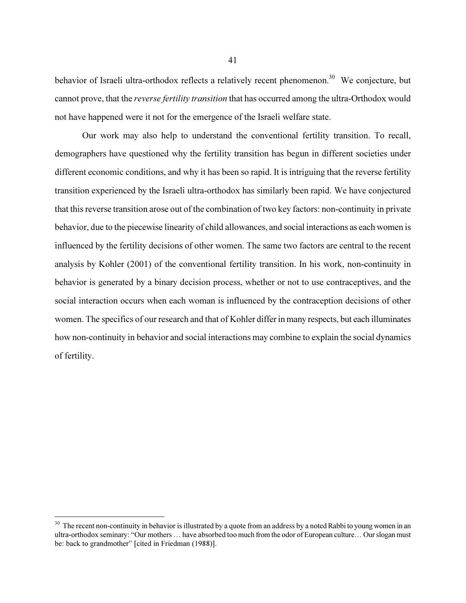behavior of Israeli ultra-orthodox reflects a relatively recent phenomenon.<sup>30</sup> We conjecture, but cannot prove, that the *reverse fertility transition* that has occurred among the ultra-Orthodox would not have happened were it not for the emergence of the Israeli welfare state.

Our work may also help to understand the conventional fertility transition. To recall, demographers have questioned why the fertility transition has begun in different societies under different economic conditions, and why it has been so rapid. It is intriguing that the reverse fertility transition experienced by the Israeli ultra-orthodox has similarly been rapid. We have conjectured that this reverse transition arose out of the combination of two key factors: non-continuity in private behavior, due to the piecewise linearity of child allowances, and social interactions as each women is influenced by the fertility decisions of other women. The same two factors are central to the recent analysis by Kohler (2001) of the conventional fertility transition. In his work, non-continuity in behavior is generated by a binary decision process, whether or not to use contraceptives, and the social interaction occurs when each woman is influenced by the contraception decisions of other women. The specifics of our research and that of Kohler differ in many respects, but each illuminates how non-continuity in behavior and social interactions may combine to explain the social dynamics of fertility.

 $30$  The recent non-continuity in behavior is illustrated by a quote from an address by a noted Rabbi to young women in an ultra-orthodox seminary: "Our mothers … have absorbed too much from the odor of European culture… Our slogan must be: back to grandmother" [cited in Friedman (1988)].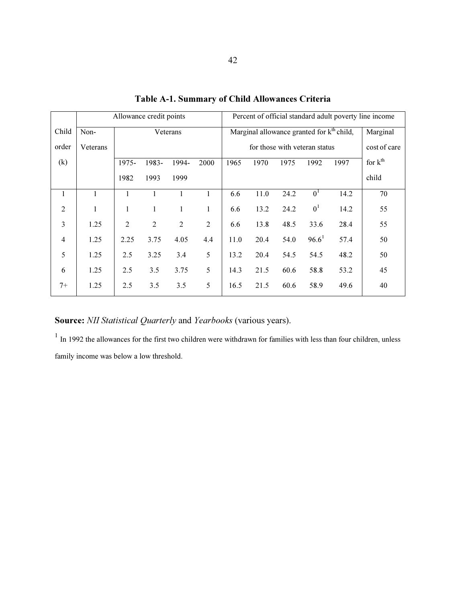|                | Allowance credit points |                |                |                |                | Percent of official standard adult poverty line income |      |      |                   |              |                     |
|----------------|-------------------------|----------------|----------------|----------------|----------------|--------------------------------------------------------|------|------|-------------------|--------------|---------------------|
| Child          | Non-                    | Veterans       |                |                |                | Marginal allowance granted for k <sup>th</sup> child,  |      |      |                   | Marginal     |                     |
| order          | Veterans                |                |                |                |                | for those with veteran status                          |      |      |                   | cost of care |                     |
| (k)            |                         | $1975 -$       | 1983-          | 1994-          | 2000           | 1965                                                   | 1970 | 1975 | 1992              | 1997         | for $k^{\text{th}}$ |
|                |                         | 1982           | 1993           | 1999           |                |                                                        |      |      |                   |              | child               |
| 1              | 1                       | 1              | 1              |                | 1              | 6.6                                                    | 11.0 | 24.2 | 0 <sup>1</sup>    | 14.2         | 70                  |
| $\overline{2}$ | 1                       | 1              | 1              | 1              | 1              | 6.6                                                    | 13.2 | 24.2 | 0 <sup>1</sup>    | 14.2         | 55                  |
| 3              | 1.25                    | $\overline{2}$ | $\overline{2}$ | $\overline{2}$ | $\overline{2}$ | 6.6                                                    | 13.8 | 48.5 | 33.6              | 28.4         | 55                  |
| 4              | 1.25                    | 2.25           | 3.75           | 4.05           | 4.4            | 11.0                                                   | 20.4 | 54.0 | 96.6 <sup>1</sup> | 57.4         | 50                  |
| 5              | 1.25                    | 2.5            | 3.25           | 3.4            | 5              | 13.2                                                   | 20.4 | 54.5 | 54.5              | 48.2         | 50                  |
| 6              | 1.25                    | 2.5            | 3.5            | 3.75           | 5              | 14.3                                                   | 21.5 | 60.6 | 58.8              | 53.2         | 45                  |
| $7+$           | 1.25                    | 2.5            | 3.5            | 3.5            | 5              | 16.5                                                   | 21.5 | 60.6 | 58.9              | 49.6         | 40                  |

Table A-1. Summary of Child Allowances Criteria

Source: NII Statistical Quarterly and Yearbooks (various years).

<sup>1</sup> In 1992 the allowances for the first two children were withdrawn for families with less than four children, unless family income was below a low threshold.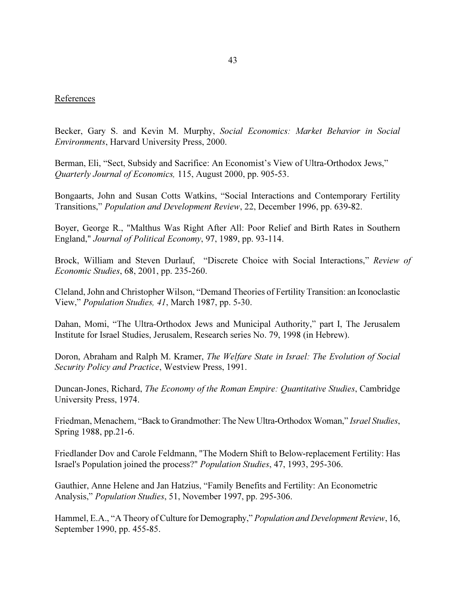# References

Becker, Gary S. and Kevin M. Murphy, Social Economics: Market Behavior in Social Environments, Harvard University Press, 2000.

Berman, Eli, "Sect, Subsidy and Sacrifice: An Economist's View of Ultra-Orthodox Jews," Quarterly Journal of Economics, 115, August 2000, pp. 905-53.

Bongaarts, John and Susan Cotts Watkins, "Social Interactions and Contemporary Fertility Transitions," Population and Development Review, 22, December 1996, pp. 639-82.

Boyer, George R., "Malthus Was Right After All: Poor Relief and Birth Rates in Southern England," Journal of Political Economy, 97, 1989, pp. 93-114.

Brock, William and Steven Durlauf, "Discrete Choice with Social Interactions," Review of Economic Studies, 68, 2001, pp. 235-260.

Cleland, John and Christopher Wilson, "Demand Theories of Fertility Transition: an Iconoclastic View," Population Studies, 41, March 1987, pp. 5-30.

Dahan, Momi, "The Ultra-Orthodox Jews and Municipal Authority," part I, The Jerusalem Institute for Israel Studies, Jerusalem, Research series No. 79, 1998 (in Hebrew).

Doron, Abraham and Ralph M. Kramer, The Welfare State in Israel: The Evolution of Social Security Policy and Practice, Westview Press, 1991.

Duncan-Jones, Richard, The Economy of the Roman Empire: Quantitative Studies, Cambridge University Press, 1974.

Friedman, Menachem, "Back to Grandmother: The New Ultra-Orthodox Woman," Israel Studies, Spring 1988, pp.21-6.

Friedlander Dov and Carole Feldmann, "The Modern Shift to Below-replacement Fertility: Has Israel's Population joined the process?" Population Studies, 47, 1993, 295-306.

Gauthier, Anne Helene and Jan Hatzius, "Family Benefits and Fertility: An Econometric Analysis," Population Studies, 51, November 1997, pp. 295-306.

Hammel, E.A., "A Theory of Culture for Demography," Population and Development Review, 16, September 1990, pp. 455-85.